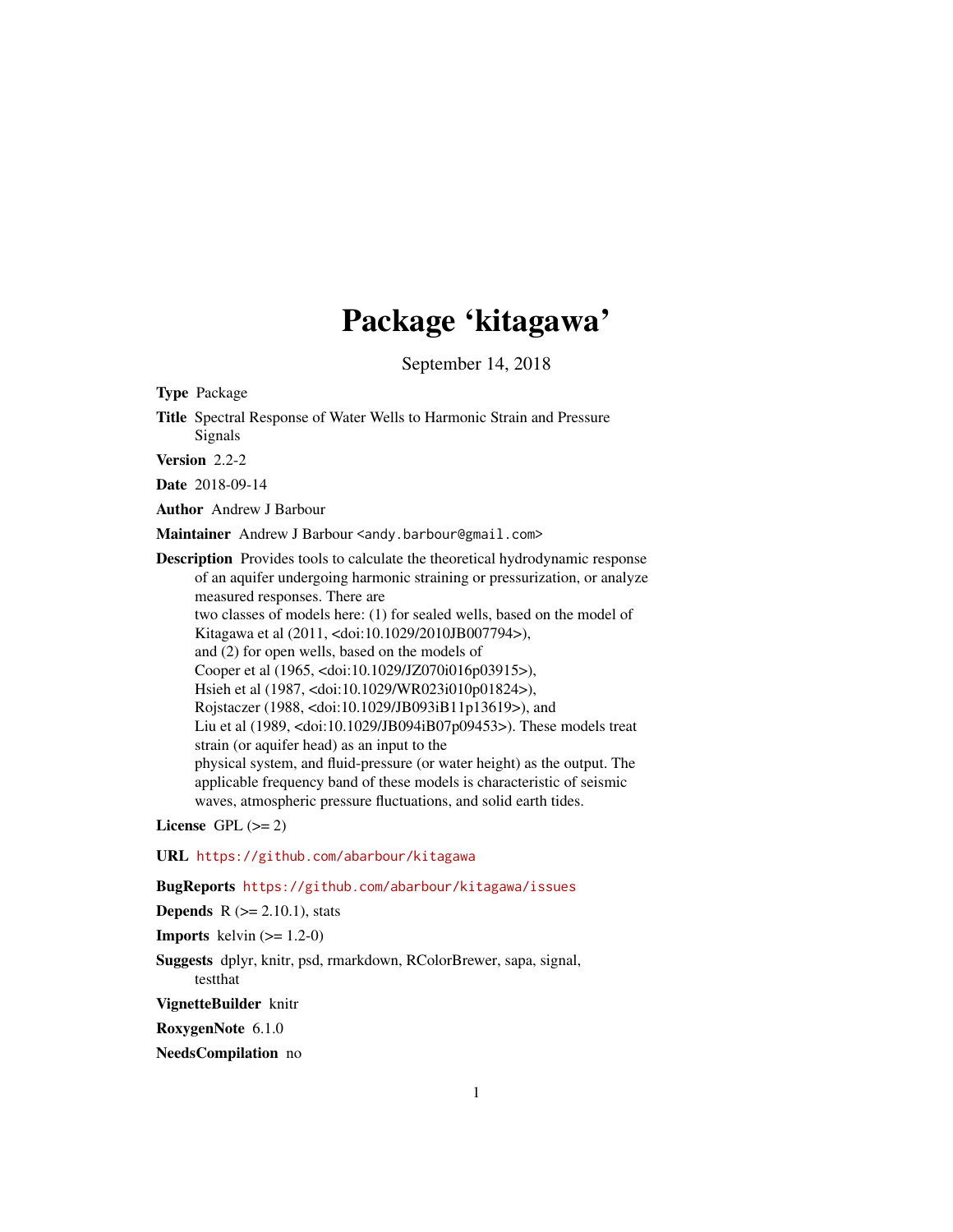# Package 'kitagawa'

September 14, 2018

<span id="page-0-0"></span>Type Package

Title Spectral Response of Water Wells to Harmonic Strain and Pressure Signals

Version 2.2-2

Date 2018-09-14

Author Andrew J Barbour

Maintainer Andrew J Barbour <andy.barbour@gmail.com>

Description Provides tools to calculate the theoretical hydrodynamic response of an aquifer undergoing harmonic straining or pressurization, or analyze measured responses. There are two classes of models here: (1) for sealed wells, based on the model of Kitagawa et al (2011, <doi:10.1029/2010JB007794>), and (2) for open wells, based on the models of Cooper et al (1965, <doi:10.1029/JZ070i016p03915>), Hsieh et al (1987, <doi:10.1029/WR023i010p01824>), Rojstaczer (1988, <doi:10.1029/JB093iB11p13619>), and Liu et al (1989, <doi:10.1029/JB094iB07p09453>). These models treat strain (or aquifer head) as an input to the physical system, and fluid-pressure (or water height) as the output. The applicable frequency band of these models is characteristic of seismic waves, atmospheric pressure fluctuations, and solid earth tides.

License GPL  $(>= 2)$ 

URL <https://github.com/abarbour/kitagawa>

BugReports <https://github.com/abarbour/kitagawa/issues>

**Depends**  $R$  ( $>= 2.10.1$ ), stats

**Imports** kelvin  $(>= 1.2-0)$ 

Suggests dplyr, knitr, psd, rmarkdown, RColorBrewer, sapa, signal, testthat

VignetteBuilder knitr

RoxygenNote 6.1.0

NeedsCompilation no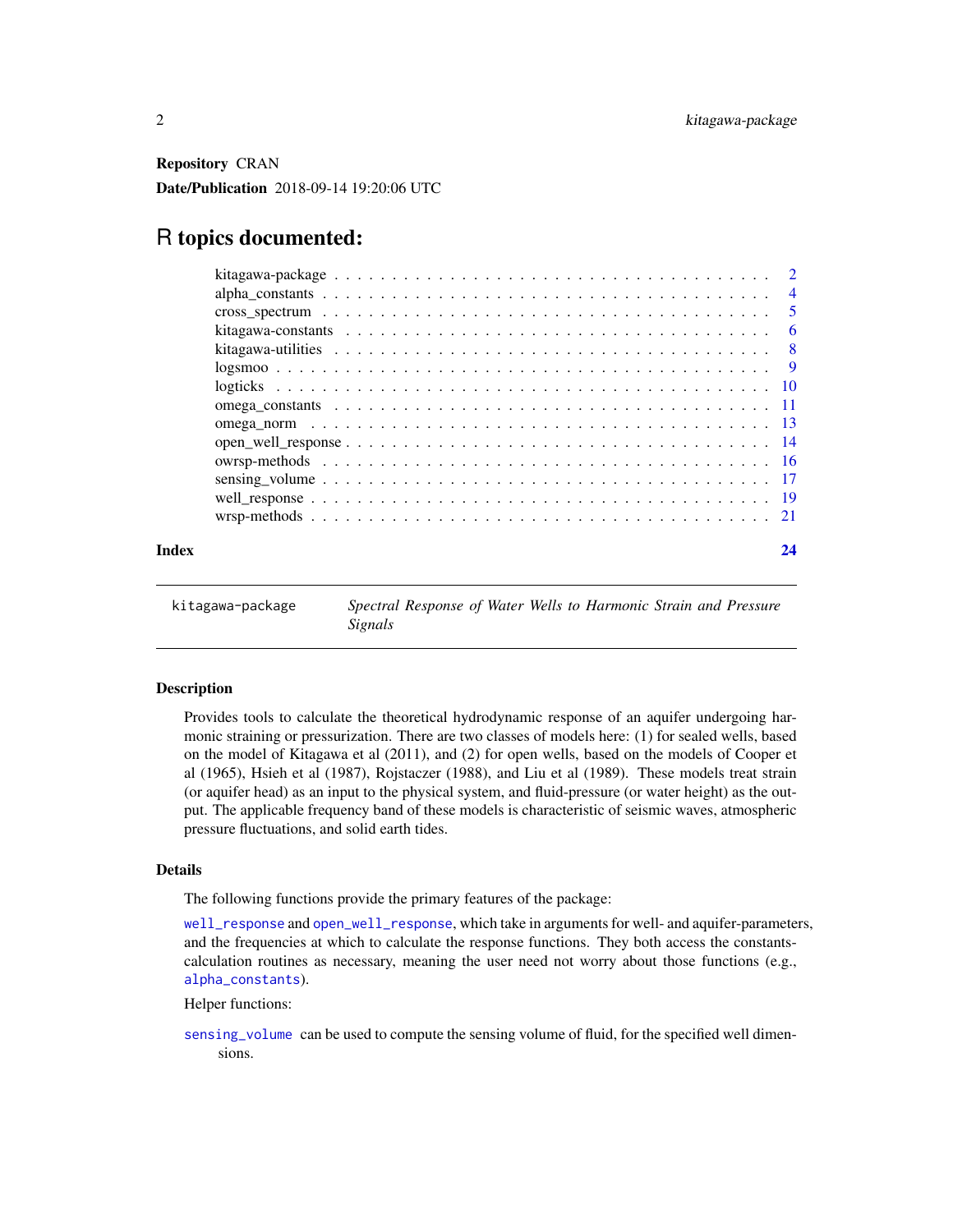<span id="page-1-0"></span>Repository CRAN Date/Publication 2018-09-14 19:20:06 UTC

# R topics documented:

| Index |                                                                                                                 | 24 |
|-------|-----------------------------------------------------------------------------------------------------------------|----|
|       |                                                                                                                 |    |
|       |                                                                                                                 |    |
|       |                                                                                                                 |    |
|       |                                                                                                                 |    |
|       |                                                                                                                 |    |
|       |                                                                                                                 |    |
|       |                                                                                                                 |    |
|       |                                                                                                                 |    |
|       |                                                                                                                 |    |
|       |                                                                                                                 |    |
|       | kitagawa-constants $\ldots \ldots \ldots \ldots \ldots \ldots \ldots \ldots \ldots \ldots \ldots \ldots \ldots$ |    |
|       |                                                                                                                 |    |
|       |                                                                                                                 |    |
|       |                                                                                                                 |    |

<span id="page-1-1"></span>kitagawa-package *Spectral Response of Water Wells to Harmonic Strain and Pressure Signals*

#### Description

Provides tools to calculate the theoretical hydrodynamic response of an aquifer undergoing harmonic straining or pressurization. There are two classes of models here: (1) for sealed wells, based on the model of Kitagawa et al (2011), and (2) for open wells, based on the models of Cooper et al (1965), Hsieh et al (1987), Rojstaczer (1988), and Liu et al (1989). These models treat strain (or aquifer head) as an input to the physical system, and fluid-pressure (or water height) as the output. The applicable frequency band of these models is characteristic of seismic waves, atmospheric pressure fluctuations, and solid earth tides.

#### Details

The following functions provide the primary features of the package:

[well\\_response](#page-18-1) and [open\\_well\\_response](#page-13-1), which take in arguments for well- and aquifer-parameters, and the frequencies at which to calculate the response functions. They both access the constantscalculation routines as necessary, meaning the user need not worry about those functions (e.g., [alpha\\_constants](#page-3-1)).

Helper functions:

[sensing\\_volume](#page-16-1) can be used to compute the sensing volume of fluid, for the specified well dimensions.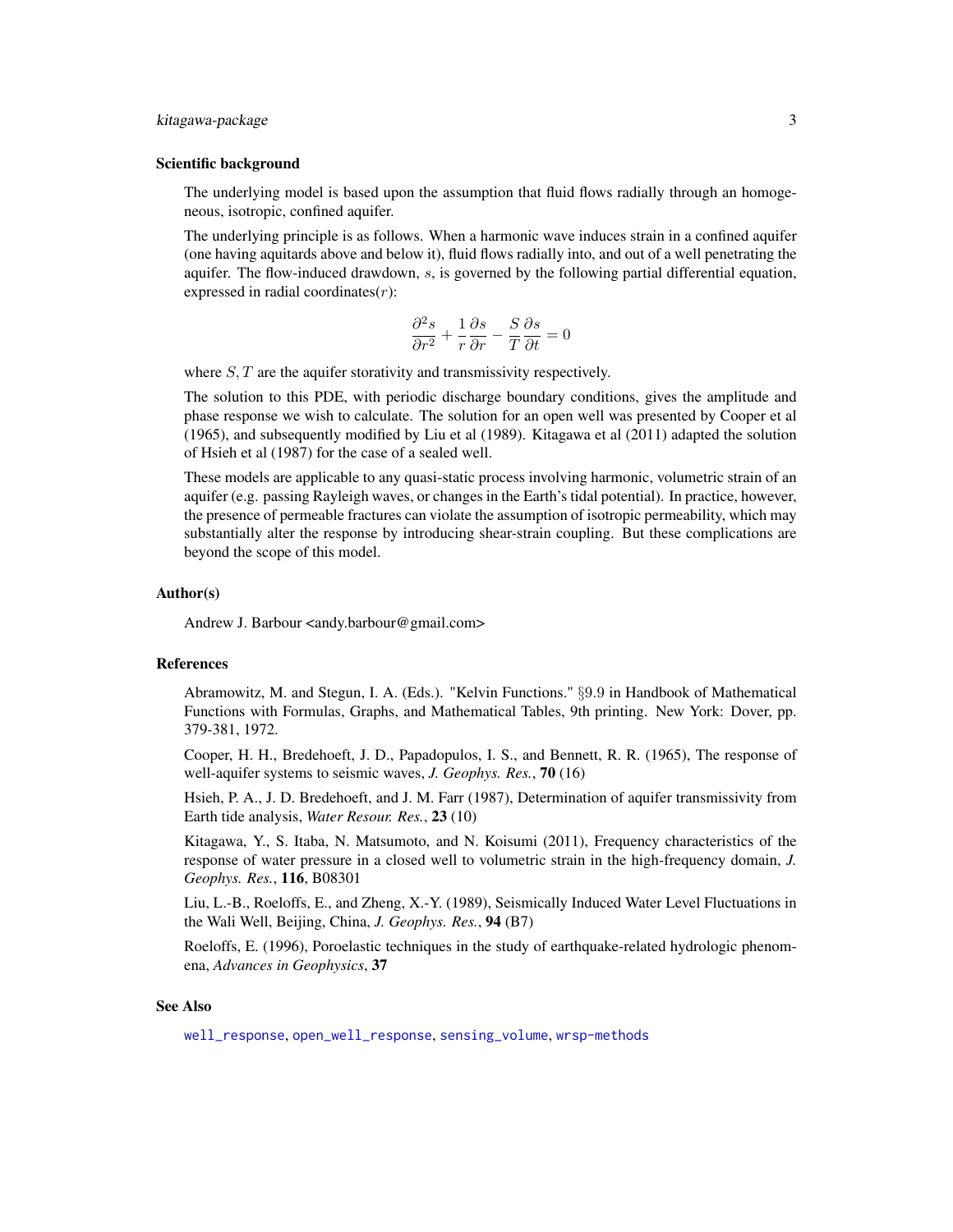#### <span id="page-2-0"></span>kitagawa-package 3

#### Scientific background

The underlying model is based upon the assumption that fluid flows radially through an homogeneous, isotropic, confined aquifer.

The underlying principle is as follows. When a harmonic wave induces strain in a confined aquifer (one having aquitards above and below it), fluid flows radially into, and out of a well penetrating the aquifer. The flow-induced drawdown,  $s$ , is governed by the following partial differential equation, expressed in radial coordinates $(r)$ :

$$
\frac{\partial^2 s}{\partial r^2} + \frac{1}{r} \frac{\partial s}{\partial r} - \frac{S}{T} \frac{\partial s}{\partial t} = 0
$$

where  $S, T$  are the aquifer storativity and transmissivity respectively.

The solution to this PDE, with periodic discharge boundary conditions, gives the amplitude and phase response we wish to calculate. The solution for an open well was presented by Cooper et al (1965), and subsequently modified by Liu et al (1989). Kitagawa et al (2011) adapted the solution of Hsieh et al (1987) for the case of a sealed well.

These models are applicable to any quasi-static process involving harmonic, volumetric strain of an aquifer (e.g. passing Rayleigh waves, or changes in the Earth's tidal potential). In practice, however, the presence of permeable fractures can violate the assumption of isotropic permeability, which may substantially alter the response by introducing shear-strain coupling. But these complications are beyond the scope of this model.

#### Author(s)

Andrew J. Barbour <andy.barbour@gmail.com>

#### References

Abramowitz, M. and Stegun, I. A. (Eds.). "Kelvin Functions." §9.9 in Handbook of Mathematical Functions with Formulas, Graphs, and Mathematical Tables, 9th printing. New York: Dover, pp. 379-381, 1972.

Cooper, H. H., Bredehoeft, J. D., Papadopulos, I. S., and Bennett, R. R. (1965), The response of well-aquifer systems to seismic waves, *J. Geophys. Res.*, 70 (16)

Hsieh, P. A., J. D. Bredehoeft, and J. M. Farr (1987), Determination of aquifer transmissivity from Earth tide analysis, *Water Resour. Res.*, 23 (10)

Kitagawa, Y., S. Itaba, N. Matsumoto, and N. Koisumi (2011), Frequency characteristics of the response of water pressure in a closed well to volumetric strain in the high-frequency domain, *J. Geophys. Res.*, 116, B08301

Liu, L.-B., Roeloffs, E., and Zheng, X.-Y. (1989), Seismically Induced Water Level Fluctuations in the Wali Well, Beijing, China, *J. Geophys. Res.*, 94 (B7)

Roeloffs, E. (1996), Poroelastic techniques in the study of earthquake-related hydrologic phenomena, *Advances in Geophysics*, 37

#### See Also

[well\\_response](#page-18-1), [open\\_well\\_response](#page-13-1), [sensing\\_volume](#page-16-1), [wrsp-methods](#page-20-1)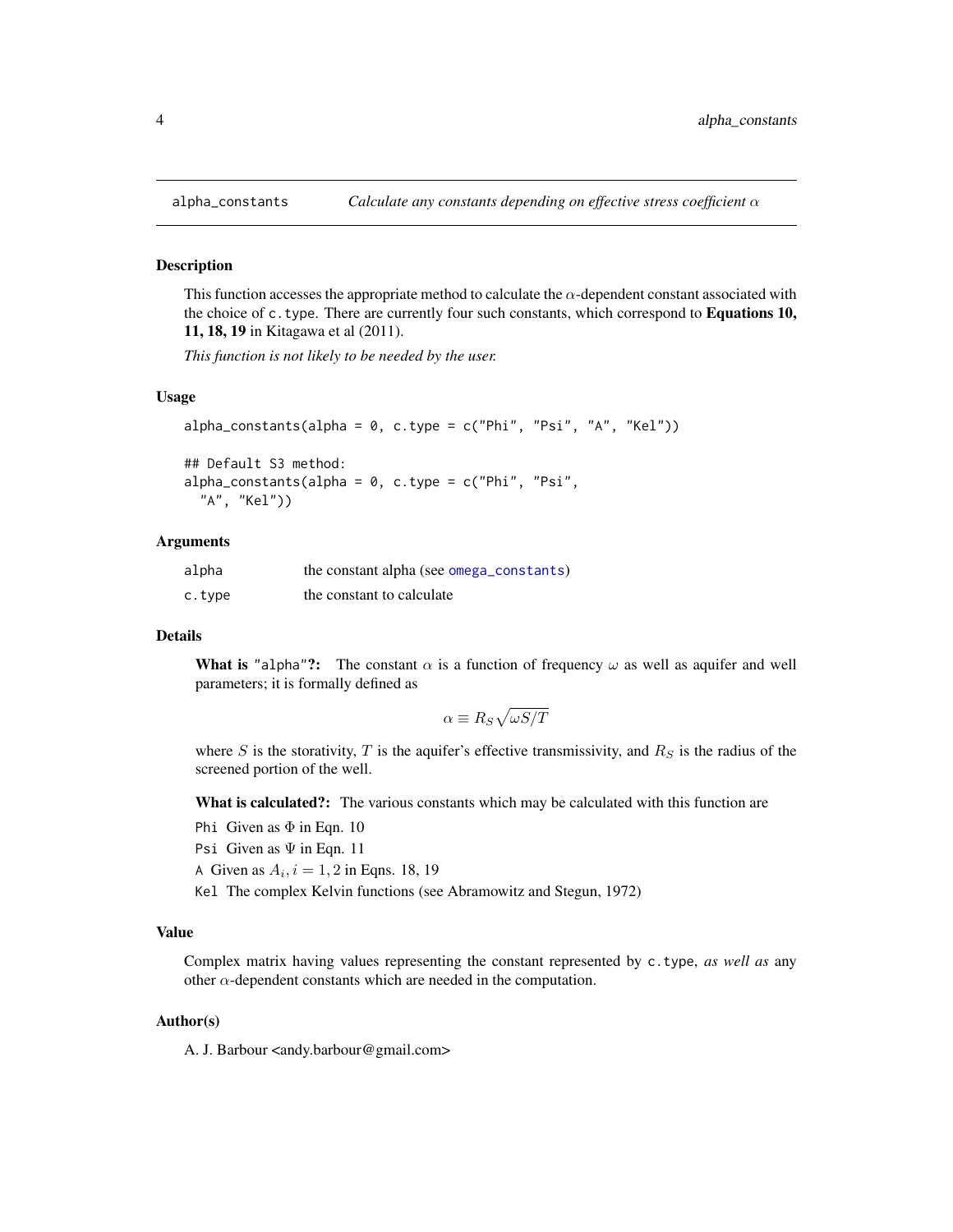#### Description

This function accesses the appropriate method to calculate the  $\alpha$ -dependent constant associated with the choice of  $c$ .type. There are currently four such constants, which correspond to **Equations 10,** 11, 18, 19 in Kitagawa et al (2011).

*This function is not likely to be needed by the user.*

#### Usage

```
alpha_{\text{constants}}(alpha = 0, c.\text{type} = c("Phi", "Psi", "A", "Kel"))
```

```
## Default S3 method:
alpha_constants(alpha = 0, c.type = c("Phi", "Psi",
  "A", "Kel"))
```
#### Arguments

| alpha  | the constant alpha (see omega_constants) |
|--------|------------------------------------------|
| c.type | the constant to calculate                |

# Details

What is "alpha"?: The constant  $\alpha$  is a function of frequency  $\omega$  as well as aquifer and well parameters; it is formally defined as

$$
\alpha \equiv R_S \sqrt{\omega S/T}
$$

where S is the storativity, T is the aquifer's effective transmissivity, and  $R<sub>S</sub>$  is the radius of the screened portion of the well.

What is calculated?: The various constants which may be calculated with this function are

- Phi Given as  $\Phi$  in Eqn. 10
- Psi Given as  $\Psi$  in Eqn. 11
- A Given as  $A_i$ ,  $i = 1, 2$  in Eqns. 18, 19
- Kel The complex Kelvin functions (see Abramowitz and Stegun, 1972)

# Value

Complex matrix having values representing the constant represented by c.type, *as well as* any other  $\alpha$ -dependent constants which are needed in the computation.

#### Author(s)

A. J. Barbour <andy.barbour@gmail.com>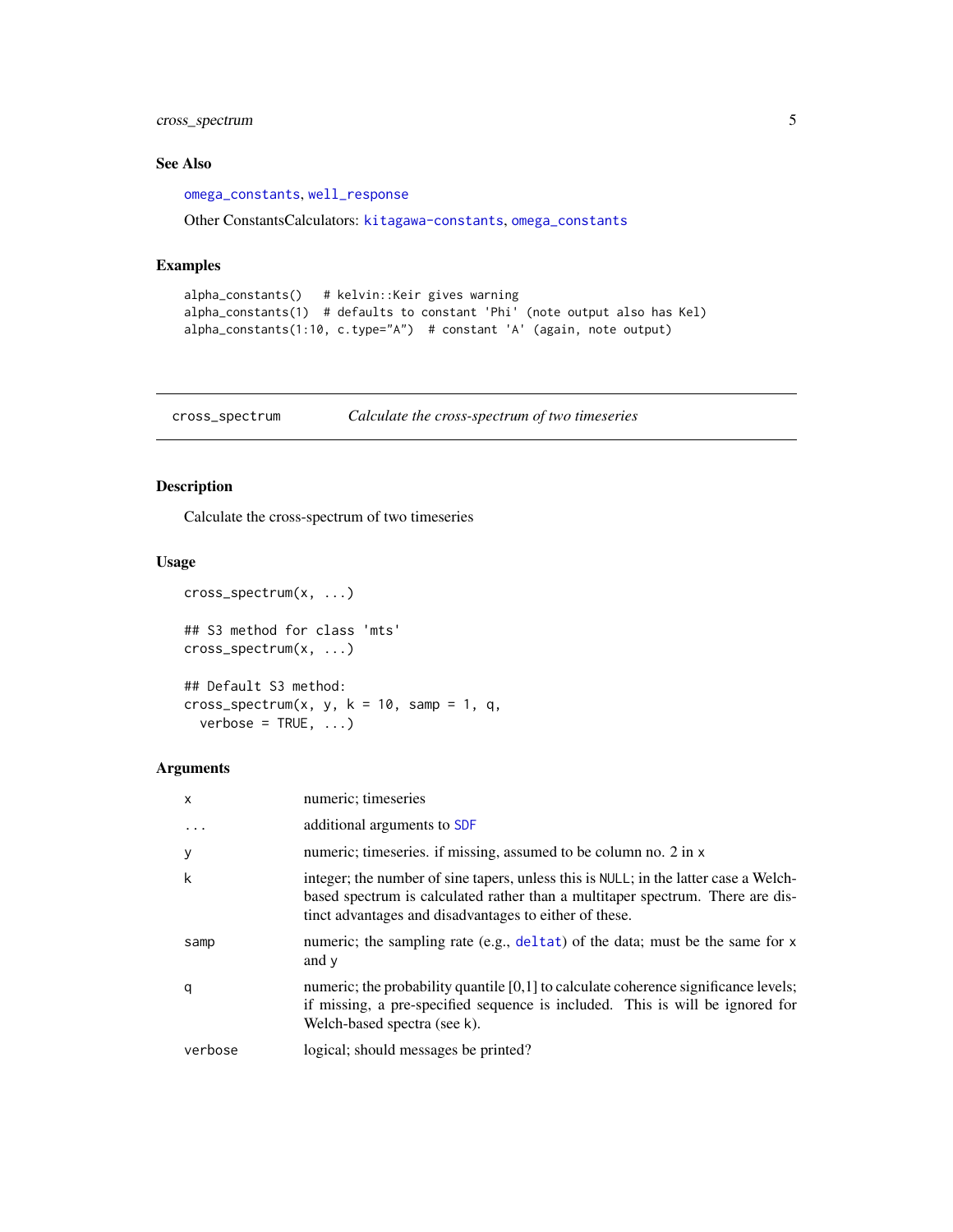# <span id="page-4-0"></span>cross\_spectrum 5

# See Also

[omega\\_constants](#page-10-1), [well\\_response](#page-18-1)

Other ConstantsCalculators: [kitagawa-constants](#page-5-1), [omega\\_constants](#page-10-1)

# Examples

```
alpha_constants() # kelvin::Keir gives warning
alpha_constants(1) # defaults to constant 'Phi' (note output also has Kel)
alpha_constants(1:10, c.type="A") # constant 'A' (again, note output)
```
cross\_spectrum *Calculate the cross-spectrum of two timeseries*

# Description

Calculate the cross-spectrum of two timeseries

### Usage

```
cross_spectrum(x, ...)
## S3 method for class 'mts'
cross_spectrum(x, ...)
## Default S3 method:
cross_spectrum(x, y, k = 10, samp = 1, q,
  verbose = TRUE, ...)
```
# Arguments

| X       | numeric; timeseries                                                                                                                                                                                                              |
|---------|----------------------------------------------------------------------------------------------------------------------------------------------------------------------------------------------------------------------------------|
| $\cdot$ | additional arguments to SDF                                                                                                                                                                                                      |
| У       | numeric; timeseries. if missing, assumed to be column no. 2 in x                                                                                                                                                                 |
| k       | integer; the number of sine tapers, unless this is NULL; in the latter case a Welch-<br>based spectrum is calculated rather than a multitaper spectrum. There are dis-<br>tinct advantages and disadvantages to either of these. |
| samp    | numeric; the sampling rate (e.g., deltat) of the data; must be the same for x<br>and y                                                                                                                                           |
| q       | numeric; the probability quantile $[0,1]$ to calculate coherence significance levels;<br>if missing, a pre-specified sequence is included. This is will be ignored for<br>Welch-based spectra (see k).                           |
| verbose | logical; should messages be printed?                                                                                                                                                                                             |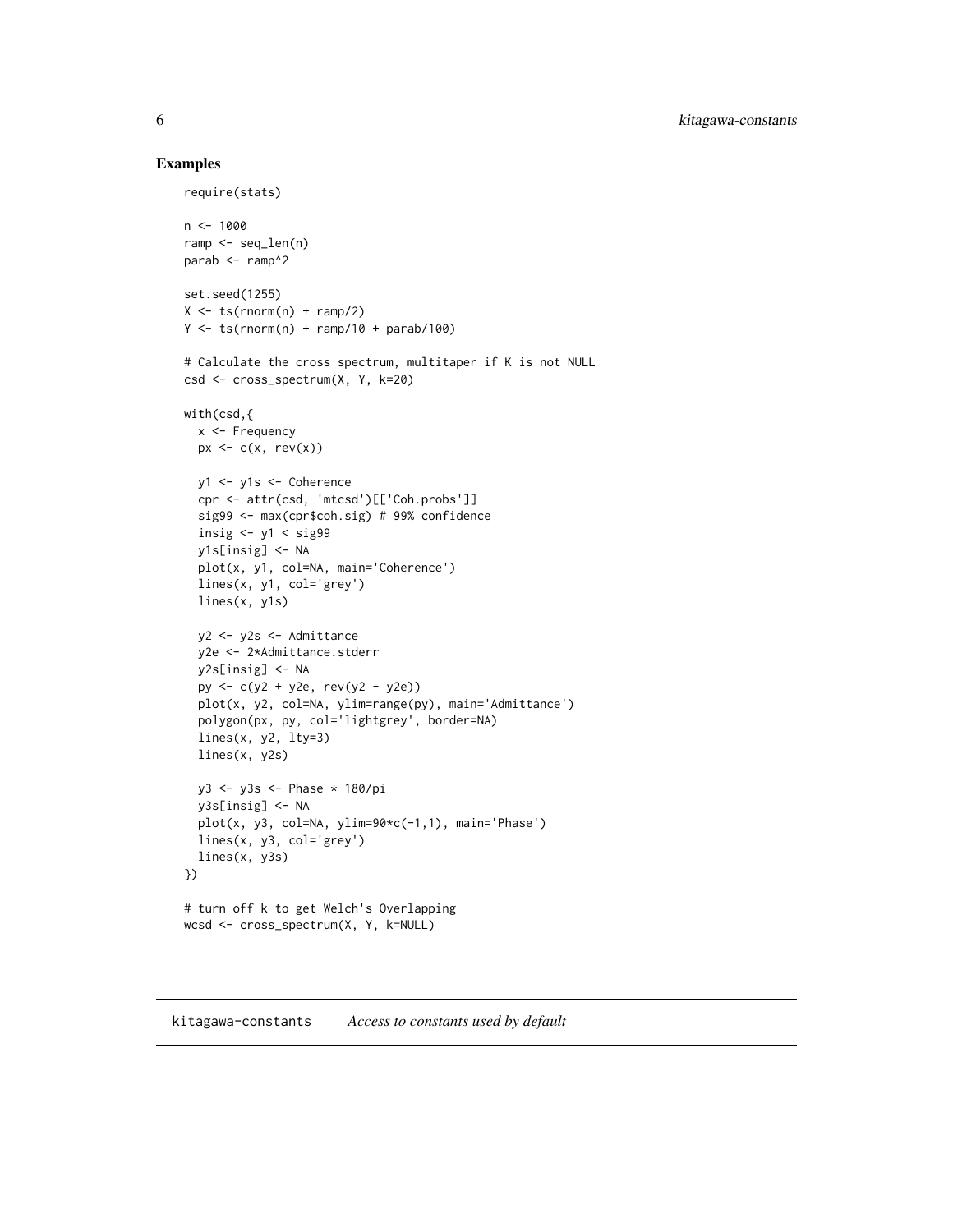# Examples

```
require(stats)
n < -1000ramp <- seq_len(n)
parab <- ramp^2
set.seed(1255)
X \leftarrow ts(rnorm(n) + ramp/2)Y \leftarrow ts(rnorm(n) + ramp/10 + parab/100)# Calculate the cross spectrum, multitaper if K is not NULL
csd <- cross_spectrum(X, Y, k=20)
with(csd,{
  x <- Frequency
  px \leftarrow c(x, rev(x))y1 <- y1s <- Coherence
  cpr <- attr(csd, 'mtcsd')[['Coh.probs']]
  sig99 <- max(cpr$coh.sig) # 99% confidence
  insig \langle -y_1 \rangle \langle sig99
  y1s[insig] <- NA
  plot(x, y1, col=NA, main='Coherence')
  lines(x, y1, col='grey')
  lines(x, y1s)
  y2 <- y2s <- Admittance
  y2e <- 2*Admittance.stderr
  y2s[insig] <- NA
  py <- c(y2 + y2e, rev(y2 - y2e))
  plot(x, y2, col=NA, ylim=range(py), main='Admittance')
  polygon(px, py, col='lightgrey', border=NA)
  lines(x, y2, lty=3)
  lines(x, y2s)
  y3 <- y3s <- Phase * 180/pi
  y3s[insig] <- NA
  plot(x, y3, col=NA, ylim=90*c(-1,1), main='Phase')
  lines(x, y3, col='grey')
  lines(x, y3s)
})
# turn off k to get Welch's Overlapping
wcsd <- cross_spectrum(X, Y, k=NULL)
```
#### <span id="page-5-2"></span><span id="page-5-1"></span>kitagawa-constants *Access to constants used by default*

<span id="page-5-0"></span>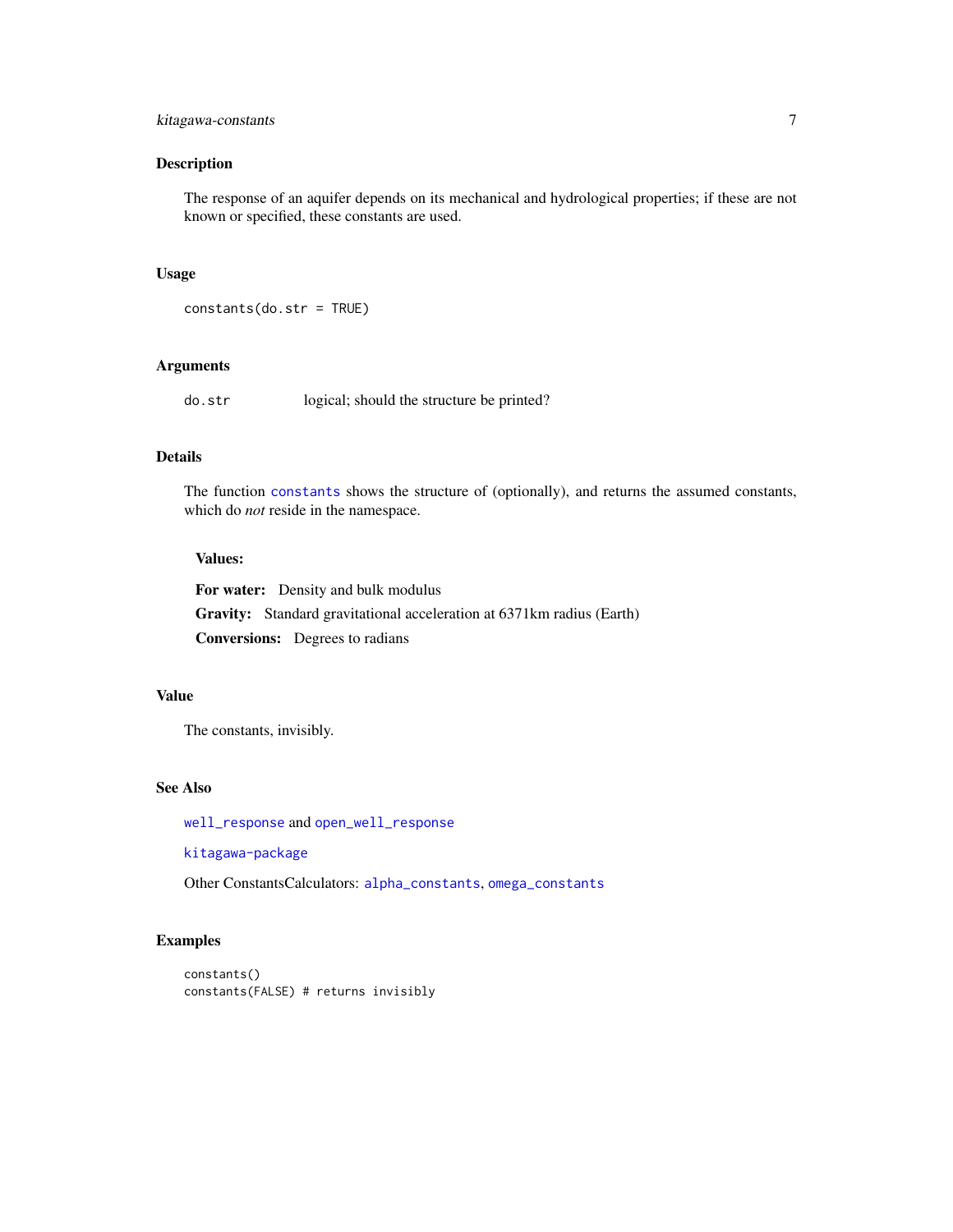# <span id="page-6-0"></span>kitagawa-constants 7

# Description

The response of an aquifer depends on its mechanical and hydrological properties; if these are not known or specified, these constants are used.

# Usage

```
constants(do.str = TRUE)
```
#### Arguments

do.str logical; should the structure be printed?

# Details

The function [constants](#page-5-2) shows the structure of (optionally), and returns the assumed constants, which do *not* reside in the namespace.

#### Values:

For water: Density and bulk modulus Gravity: Standard gravitational acceleration at 6371km radius (Earth) Conversions: Degrees to radians

# Value

The constants, invisibly.

# See Also

[well\\_response](#page-18-1) and [open\\_well\\_response](#page-13-1)

[kitagawa-package](#page-1-1)

Other ConstantsCalculators: [alpha\\_constants](#page-3-1), [omega\\_constants](#page-10-1)

# Examples

constants() constants(FALSE) # returns invisibly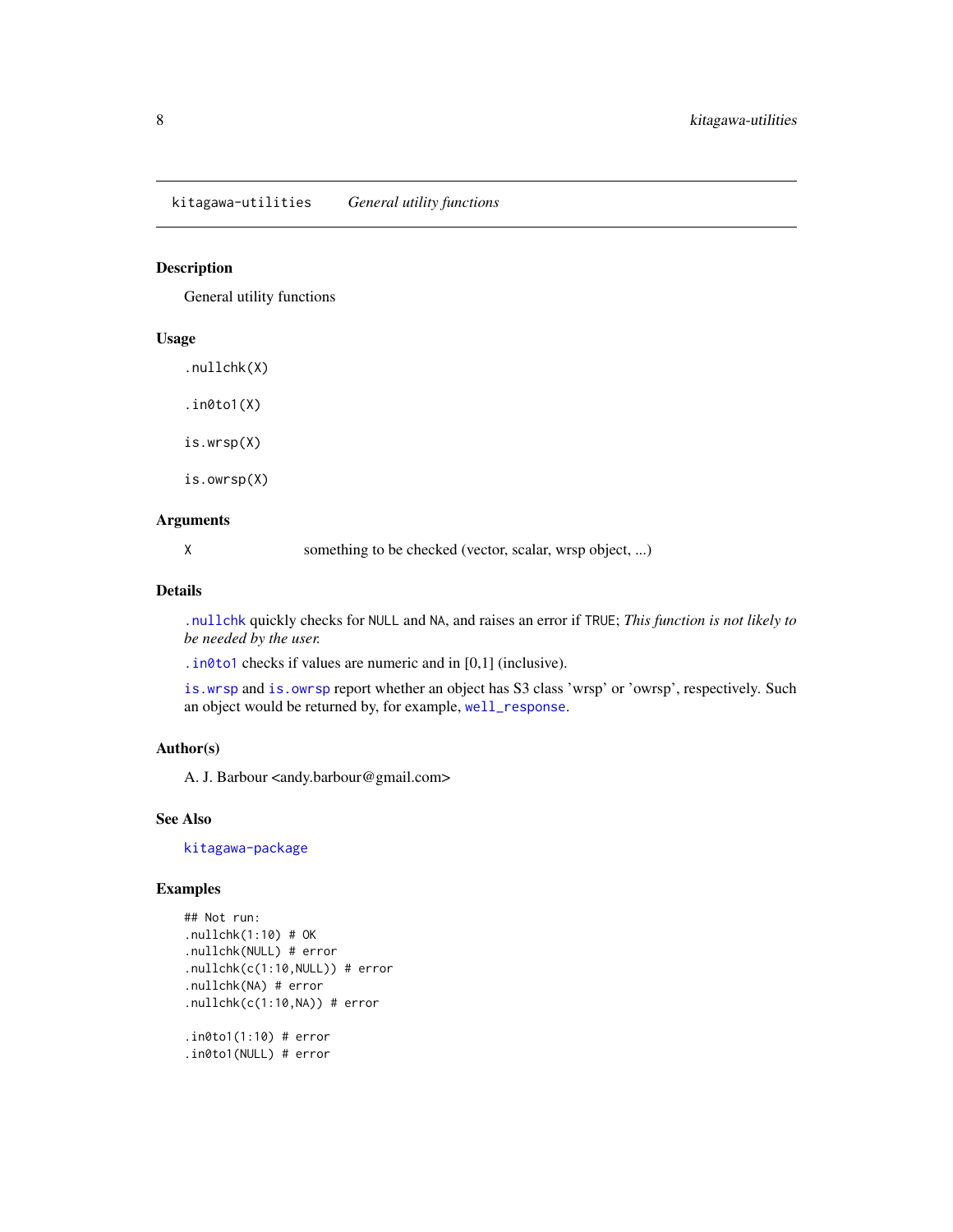# <span id="page-7-1"></span><span id="page-7-0"></span>Description

General utility functions

#### Usage

.nullchk(X)

.in0to1(X)

is.wrsp(X)

is.owrsp(X)

#### Arguments

X something to be checked (vector, scalar, wrsp object, ...)

# Details

[.nullchk](#page-7-1) quickly checks for NULL and NA, and raises an error if TRUE; *This function is not likely to be needed by the user.*

[.in0to1](#page-7-1) checks if values are numeric and in [0,1] (inclusive).

[is.wrsp](#page-7-1) and [is.owrsp](#page-7-1) report whether an object has S3 class 'wrsp' or 'owrsp', respectively. Such an object would be returned by, for example, [well\\_response](#page-18-1).

# Author(s)

A. J. Barbour <andy.barbour@gmail.com>

# See Also

[kitagawa-package](#page-1-1)

```
## Not run:
.nullchk(1:10) # OK
.nullchk(NULL) # error
.nullchk(c(1:10,NULL)) # error
.nullchk(NA) # error
.nullchk(c(1:10,NA)) # error
.in0to1(1:10) # error
.in0to1(NULL) # error
```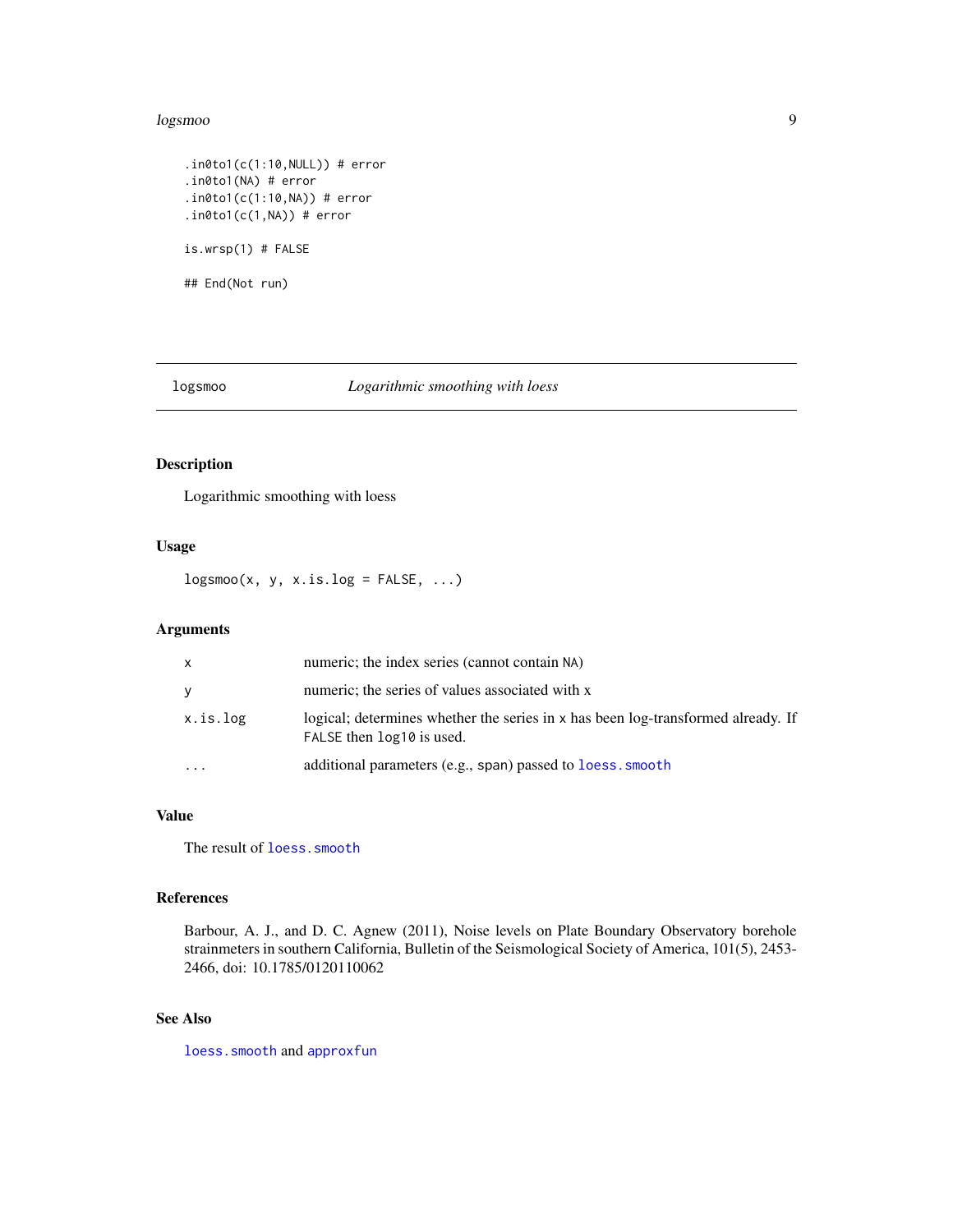#### <span id="page-8-0"></span>logsmoo 9

```
.in0to1(c(1:10, NULL)) # error
.in0to1(NA) # error
.in0to1(c(1:10,NA)) # error
.in0to1(c(1,NA)) # error
is.wrsp(1) # FALSE
## End(Not run)
```
logsmoo *Logarithmic smoothing with loess*

# Description

Logarithmic smoothing with loess

# Usage

 $logsmoo(x, y, x.is.log = FALSE, ...)$ 

# Arguments

| X                       | numeric; the index series (cannot contain NA)                                                                 |
|-------------------------|---------------------------------------------------------------------------------------------------------------|
| y                       | numeric; the series of values associated with x                                                               |
| x.is.log                | logical; determines whether the series in x has been log-transformed already. If<br>FALSE then log10 is used. |
| $\cdot$ $\cdot$ $\cdot$ | additional parameters (e.g., span) passed to loess. smooth                                                    |

# Value

The result of [loess.smooth](#page-0-0)

# References

Barbour, A. J., and D. C. Agnew (2011), Noise levels on Plate Boundary Observatory borehole strainmeters in southern California, Bulletin of the Seismological Society of America, 101(5), 2453- 2466, doi: 10.1785/0120110062

# See Also

[loess.smooth](#page-0-0) and [approxfun](#page-0-0)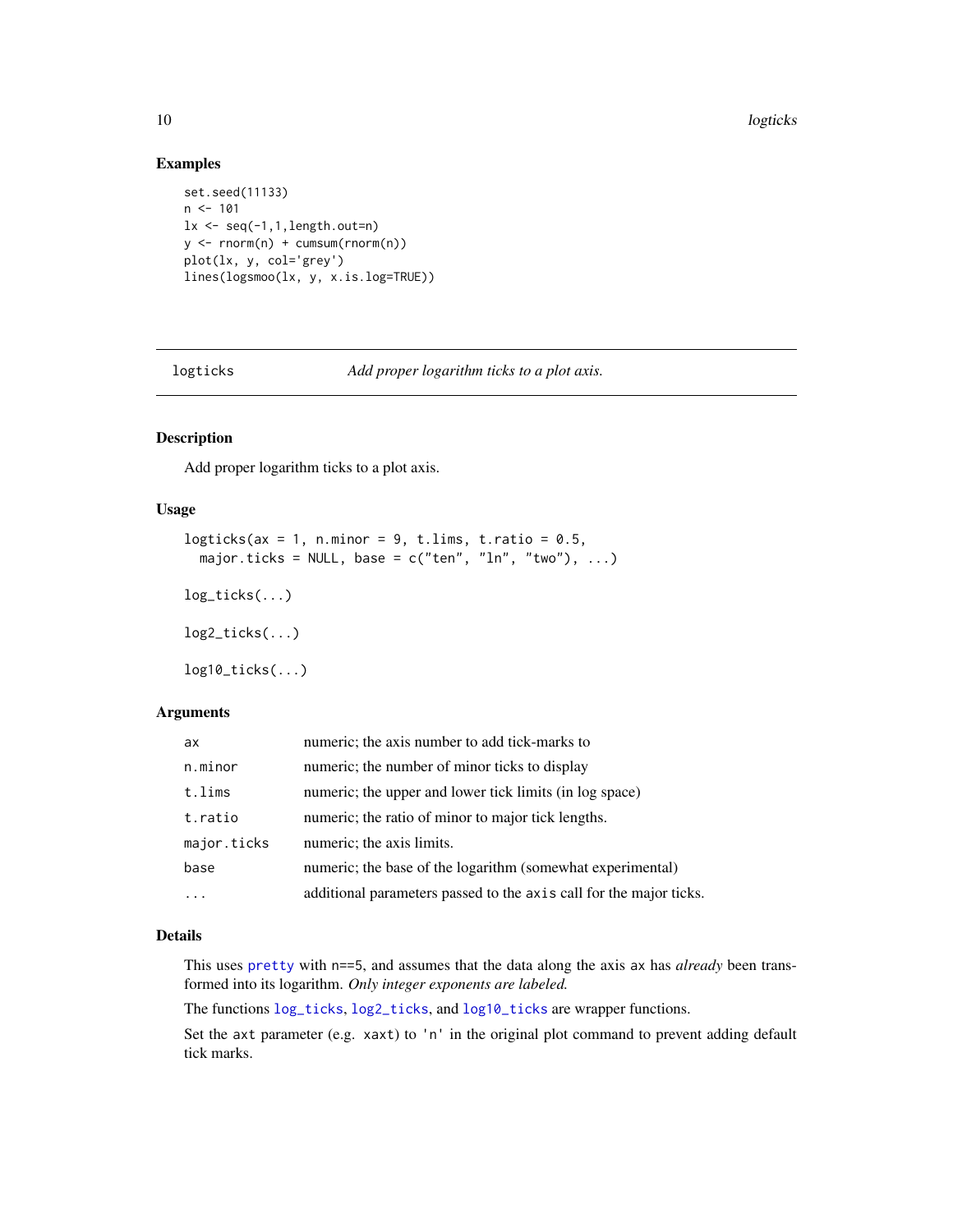#### Examples

```
set.seed(11133)
n < -101lx \leftarrow seq(-1, 1, length.out=n)y <- rnorm(n) + cumsum(rnorm(n))
plot(lx, y, col='grey')
lines(logsmoo(lx, y, x.is.log=TRUE))
```
<span id="page-9-2"></span>logticks *Add proper logarithm ticks to a plot axis.*

# <span id="page-9-1"></span>Description

Add proper logarithm ticks to a plot axis.

#### Usage

```
logticks(ax = 1, n.minor = 9, t.lims, t.ratio = 0.5,
 major.ticks = NULL, base = c("ten", "ln", "two"), ...)
log_ticks(...)
log2_ticks(...)
log10\_ticks(...)
```
# Arguments

| ax          | numeric; the axis number to add tick-marks to                      |
|-------------|--------------------------------------------------------------------|
| n.minor     | numeric; the number of minor ticks to display                      |
| t.lims      | numeric; the upper and lower tick limits (in log space)            |
| t.ratio     | numeric; the ratio of minor to major tick lengths.                 |
| major.ticks | numeric; the axis limits.                                          |
| base        | numeric; the base of the logarithm (somewhat experimental)         |
| .           | additional parameters passed to the axis call for the major ticks. |

# Details

This uses [pretty](#page-0-0) with n==5, and assumes that the data along the axis ax has *already* been transformed into its logarithm. *Only integer exponents are labeled.*

The functions [log\\_ticks](#page-9-1), [log2\\_ticks](#page-9-1), and [log10\\_ticks](#page-9-1) are wrapper functions.

Set the axt parameter (e.g. xaxt) to 'n' in the original plot command to prevent adding default tick marks.

<span id="page-9-0"></span>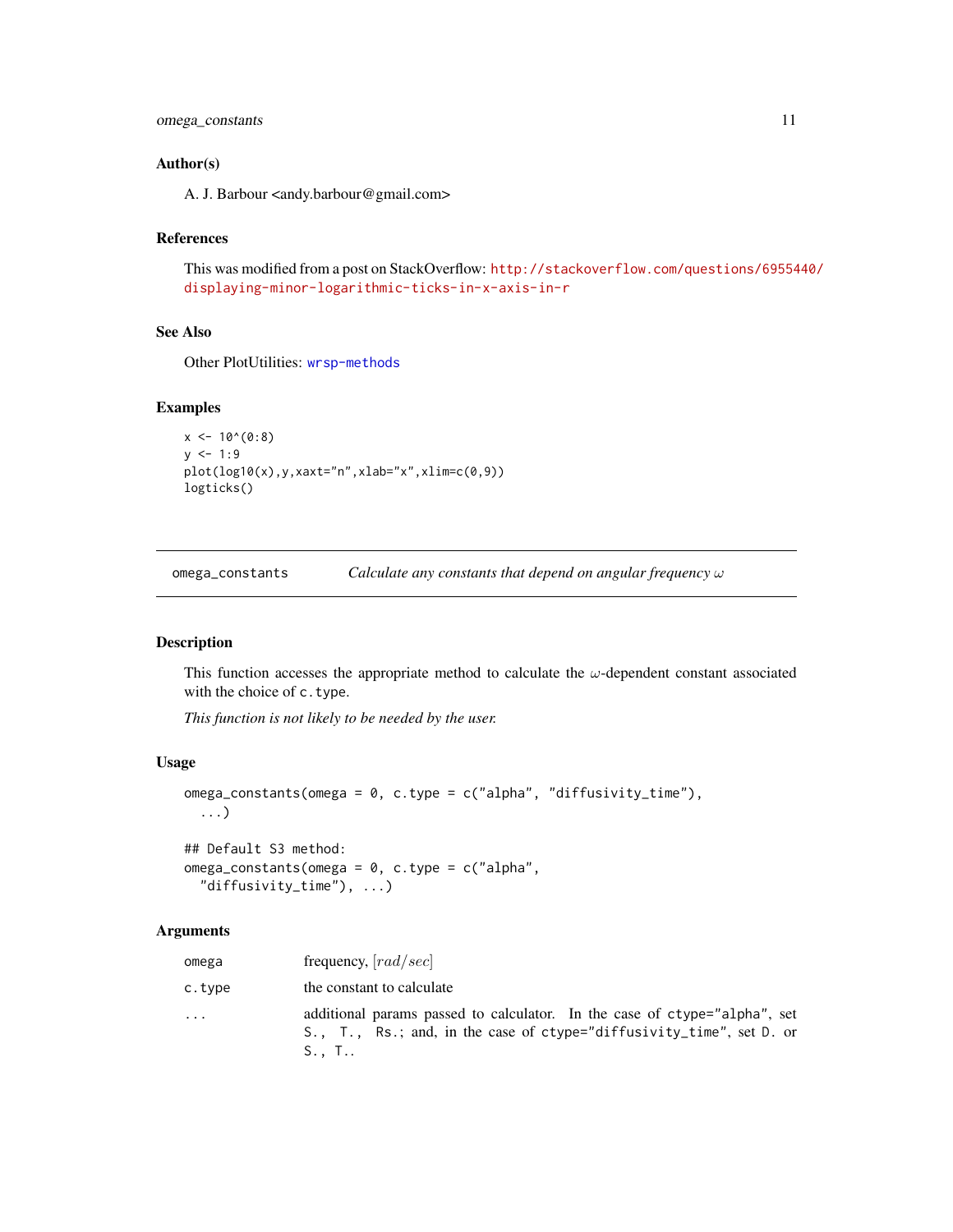#### <span id="page-10-0"></span>Author(s)

A. J. Barbour <andy.barbour@gmail.com>

# References

This was modified from a post on StackOverflow: [http://stackoverflow.com/questions/69554](http://stackoverflow.com/questions/6955440/displaying-minor-logarithmic-ticks-in-x-axis-in-r)40/ [displaying-minor-logarithmic-ticks-in-x-axis-in-r](http://stackoverflow.com/questions/6955440/displaying-minor-logarithmic-ticks-in-x-axis-in-r)

### See Also

Other PlotUtilities: [wrsp-methods](#page-20-1)

# Examples

```
x \le -10^{(0.8)}y \le -1:9plot(log10(x),y,xaxt="n",xlab="x",xlim=c(0,9))
logticks()
```
<span id="page-10-1"></span>omega\_constants *Calculate any constants that depend on angular frequency* ω

# Description

This function accesses the appropriate method to calculate the  $\omega$ -dependent constant associated with the choice of c.type.

*This function is not likely to be needed by the user.*

#### Usage

```
omega_constants(omega = 0, c.type = c("alpha", "diffusivity_time"),
  ...)
```

```
## Default S3 method:
omega_{\text{eq}} constants(omega = 0, c.type = c("alpha",
  "diffusivity_time"), ...)
```
#### Arguments

| omega   | frequency, $[rad/sec]$                                                                                                                                               |
|---------|----------------------------------------------------------------------------------------------------------------------------------------------------------------------|
| c.type  | the constant to calculate                                                                                                                                            |
| $\cdot$ | additional params passed to calculator. In the case of ctype="alpha", set<br>S., T., Rs.; and, in the case of ctype="diffusivity_time", set D. or<br>$S_{\cdot}$ , T |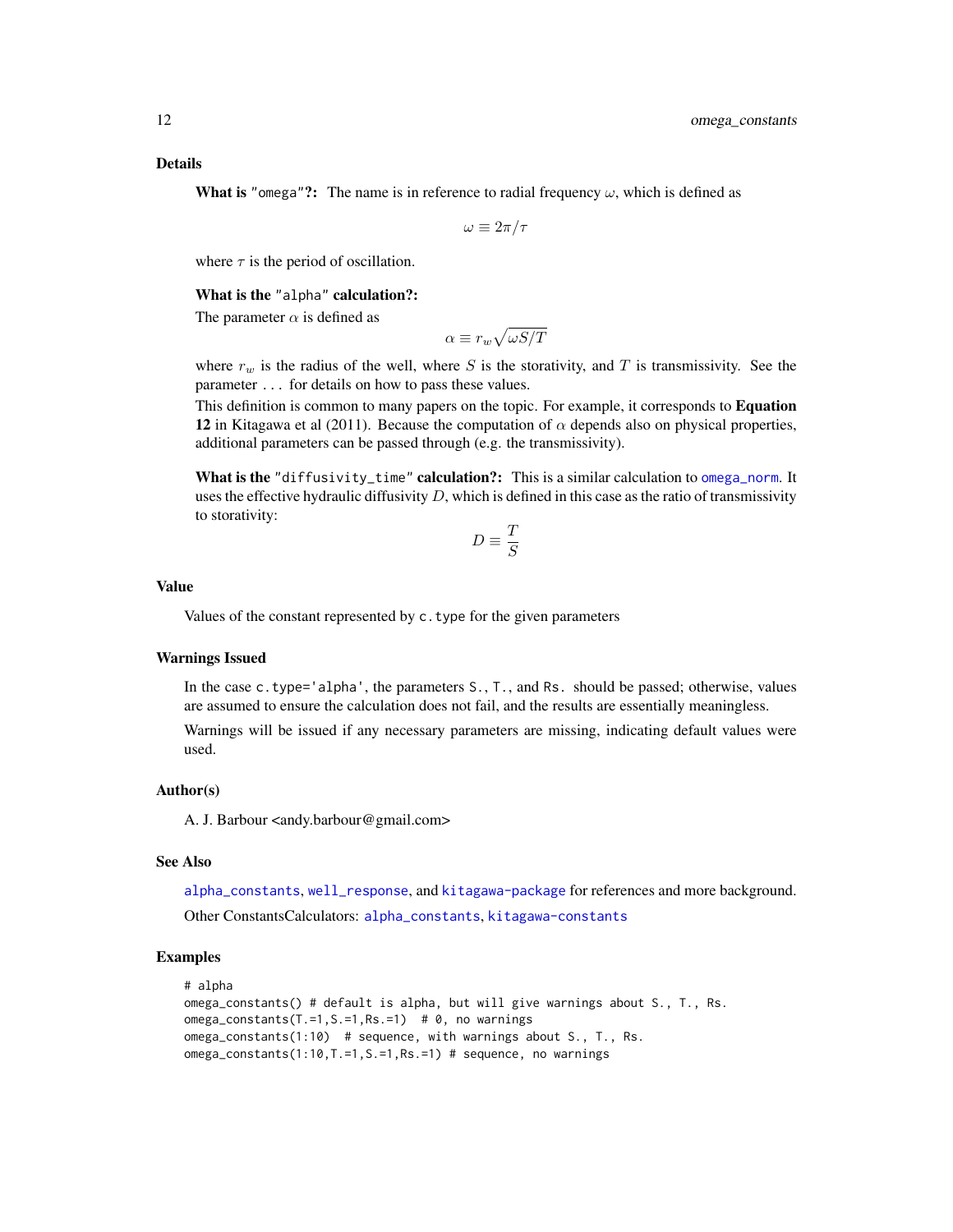<span id="page-11-0"></span>Details

**What is** "omega"?: The name is in reference to radial frequency  $\omega$ , which is defined as

$$
\omega \equiv 2\pi/\tau
$$

where  $\tau$  is the period of oscillation.

What is the "alpha" calculation?:

The parameter  $\alpha$  is defined as

$$
\alpha \equiv r_w \sqrt{\omega S/T}
$$

where  $r_w$  is the radius of the well, where S is the storativity, and T is transmissivity. See the parameter ... for details on how to pass these values.

This definition is common to many papers on the topic. For example, it corresponds to Equation 12 in Kitagawa et al (2011). Because the computation of  $\alpha$  depends also on physical properties, additional parameters can be passed through (e.g. the transmissivity).

What is the "diffusivity\_time" calculation?: This is a similar calculation to [omega\\_norm](#page-12-1). It uses the effective hydraulic diffusivity  $D$ , which is defined in this case as the ratio of transmissivity to storativity:

$$
D\equiv \frac{T}{S}
$$

#### Value

Values of the constant represented by c.type for the given parameters

# Warnings Issued

In the case c.type='alpha', the parameters S., T., and Rs. should be passed; otherwise, values are assumed to ensure the calculation does not fail, and the results are essentially meaningless.

Warnings will be issued if any necessary parameters are missing, indicating default values were used.

#### Author(s)

A. J. Barbour <andy.barbour@gmail.com>

### See Also

[alpha\\_constants](#page-3-1), [well\\_response](#page-18-1), and [kitagawa-package](#page-1-1) for references and more background.

Other ConstantsCalculators: [alpha\\_constants](#page-3-1), [kitagawa-constants](#page-5-1)

```
# alpha
omega_constants() # default is alpha, but will give warnings about S., T., Rs.
omega_constants(T.=1,S.=1,Rs.=1) # 0, no warnings
omega_constants(1:10) # sequence, with warnings about S., T., Rs.
omega_constants(1:10,T.=1,S.=1,Rs.=1) # sequence, no warnings
```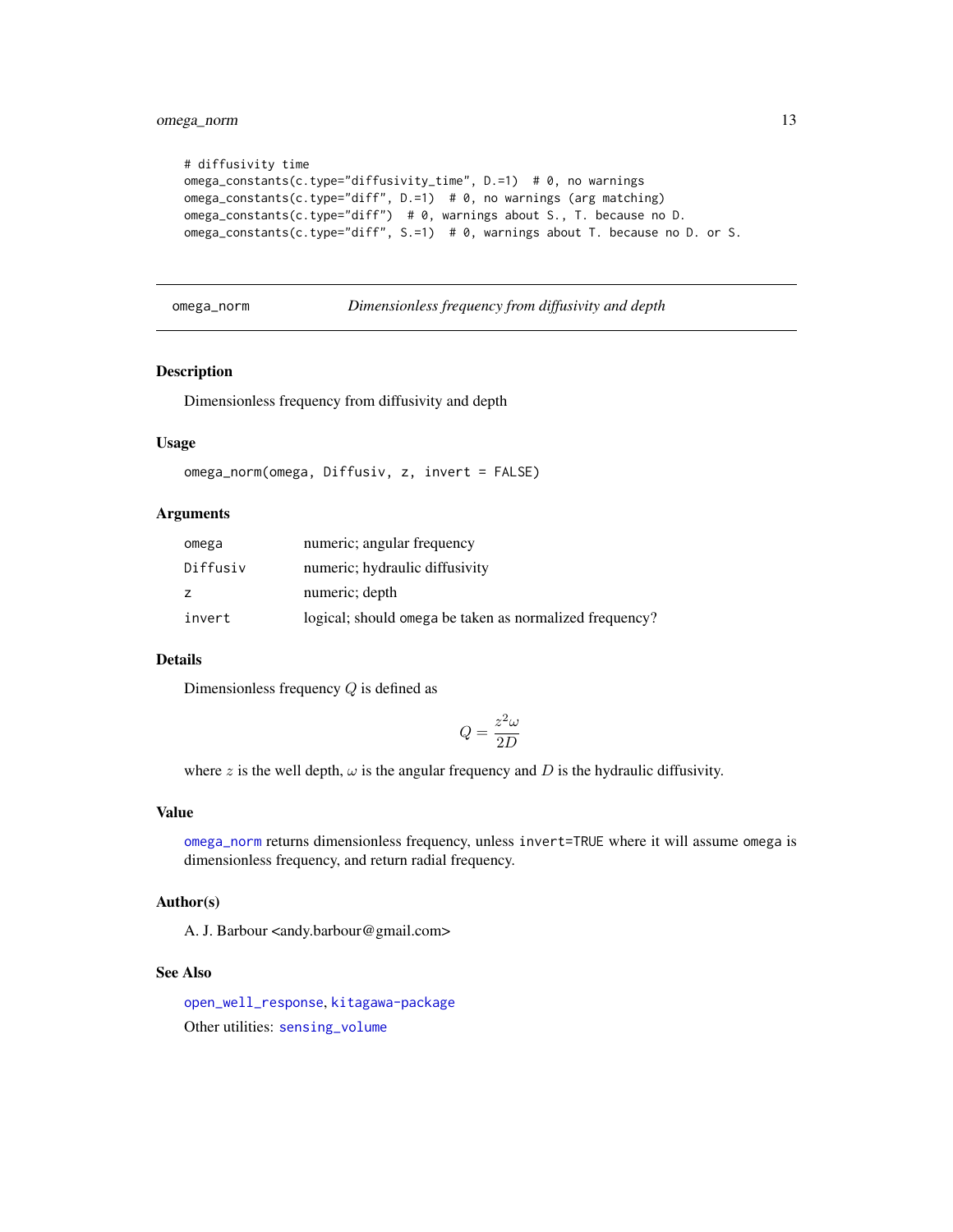```
# diffusivity time
omega_constants(c.type="diffusivity_time", D.=1) # 0, no warnings
omega_constants(c.type="diff", D.=1) # 0, no warnings (arg matching)
omega_constants(c.type="diff") # 0, warnings about S., T. because no D.
omega_constants(c.type="diff", S.=1) # 0, warnings about T. because no D. or S.
```

```
omega_norm Dimensionless frequency from diffusivity and depth
```
# Description

Dimensionless frequency from diffusivity and depth

#### Usage

```
omega_norm(omega, Diffusiv, z, invert = FALSE)
```
# Arguments

| omega    | numeric; angular frequency                              |
|----------|---------------------------------------------------------|
| Diffusiv | numeric; hydraulic diffusivity                          |
| z        | numeric; depth                                          |
| invert   | logical; should omega be taken as normalized frequency? |

# Details

Dimensionless frequency Q is defined as

$$
Q=\frac{z^2\omega}{2D}
$$

where z is the well depth,  $\omega$  is the angular frequency and D is the hydraulic diffusivity.

#### Value

[omega\\_norm](#page-12-1) returns dimensionless frequency, unless invert=TRUE where it will assume omega is dimensionless frequency, and return radial frequency.

# Author(s)

A. J. Barbour <andy.barbour@gmail.com>

#### See Also

[open\\_well\\_response](#page-13-1), [kitagawa-package](#page-1-1) Other utilities: [sensing\\_volume](#page-16-1)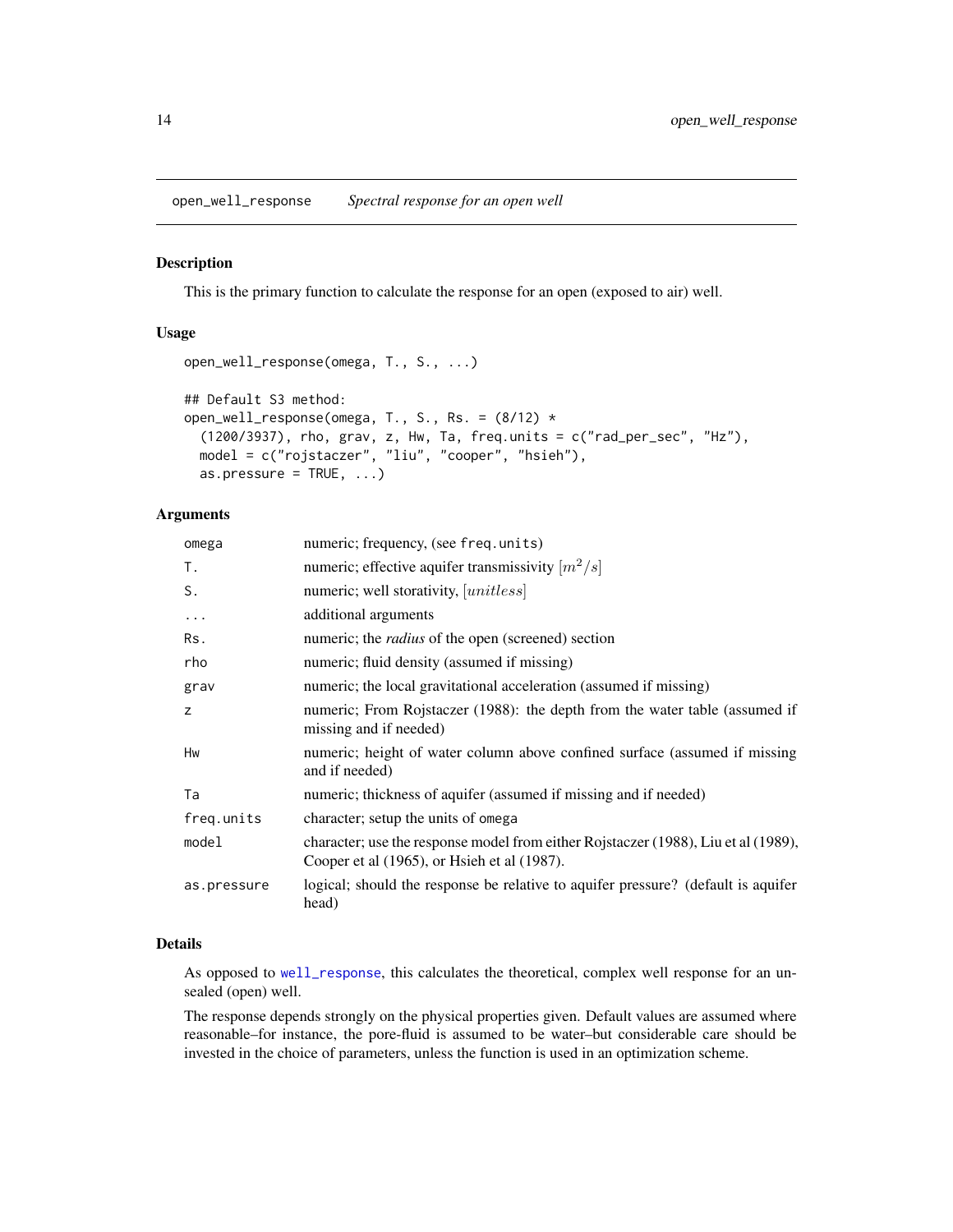<span id="page-13-1"></span><span id="page-13-0"></span>open\_well\_response *Spectral response for an open well*

#### Description

This is the primary function to calculate the response for an open (exposed to air) well.

# Usage

```
open_well_response(omega, T., S., ...)
## Default S3 method:
open_well_response(omega, T., S., Rs. = (8/12) *
  (1200/3937), rho, grav, z, Hw, Ta, freq.units = c("rad_per_sec", "Hz"),
 model = c("rojstaczer", "liu", "cooper", "hsieh"),
 as.pressure = TRUE, ...)
```
# Arguments

| omega       | numeric; frequency, (see freq.units)                                                                                              |
|-------------|-----------------------------------------------------------------------------------------------------------------------------------|
| Τ.          | numeric; effective aquifer transmissivity $\lfloor m^2/s \rfloor$                                                                 |
| S.          | numeric; well storativity, [ <i>unitless</i> ]                                                                                    |
| $\cdot$     | additional arguments                                                                                                              |
| Rs.         | numeric; the <i>radius</i> of the open (screened) section                                                                         |
| rho         | numeric; fluid density (assumed if missing)                                                                                       |
| grav        | numeric; the local gravitational acceleration (assumed if missing)                                                                |
| Z           | numeric; From Rojstaczer (1988): the depth from the water table (assumed if<br>missing and if needed)                             |
| Hw          | numeric; height of water column above confined surface (assumed if missing<br>and if needed)                                      |
| Ta          | numeric; thickness of aquifer (assumed if missing and if needed)                                                                  |
| freq.units  | character; setup the units of omega                                                                                               |
| model       | character; use the response model from either Rojstaczer (1988), Liu et al (1989),<br>Cooper et al (1965), or Hsieh et al (1987). |
| as.pressure | logical; should the response be relative to aquifer pressure? (default is aquifer<br>head)                                        |

#### Details

As opposed to [well\\_response](#page-18-1), this calculates the theoretical, complex well response for an unsealed (open) well.

The response depends strongly on the physical properties given. Default values are assumed where reasonable–for instance, the pore-fluid is assumed to be water–but considerable care should be invested in the choice of parameters, unless the function is used in an optimization scheme.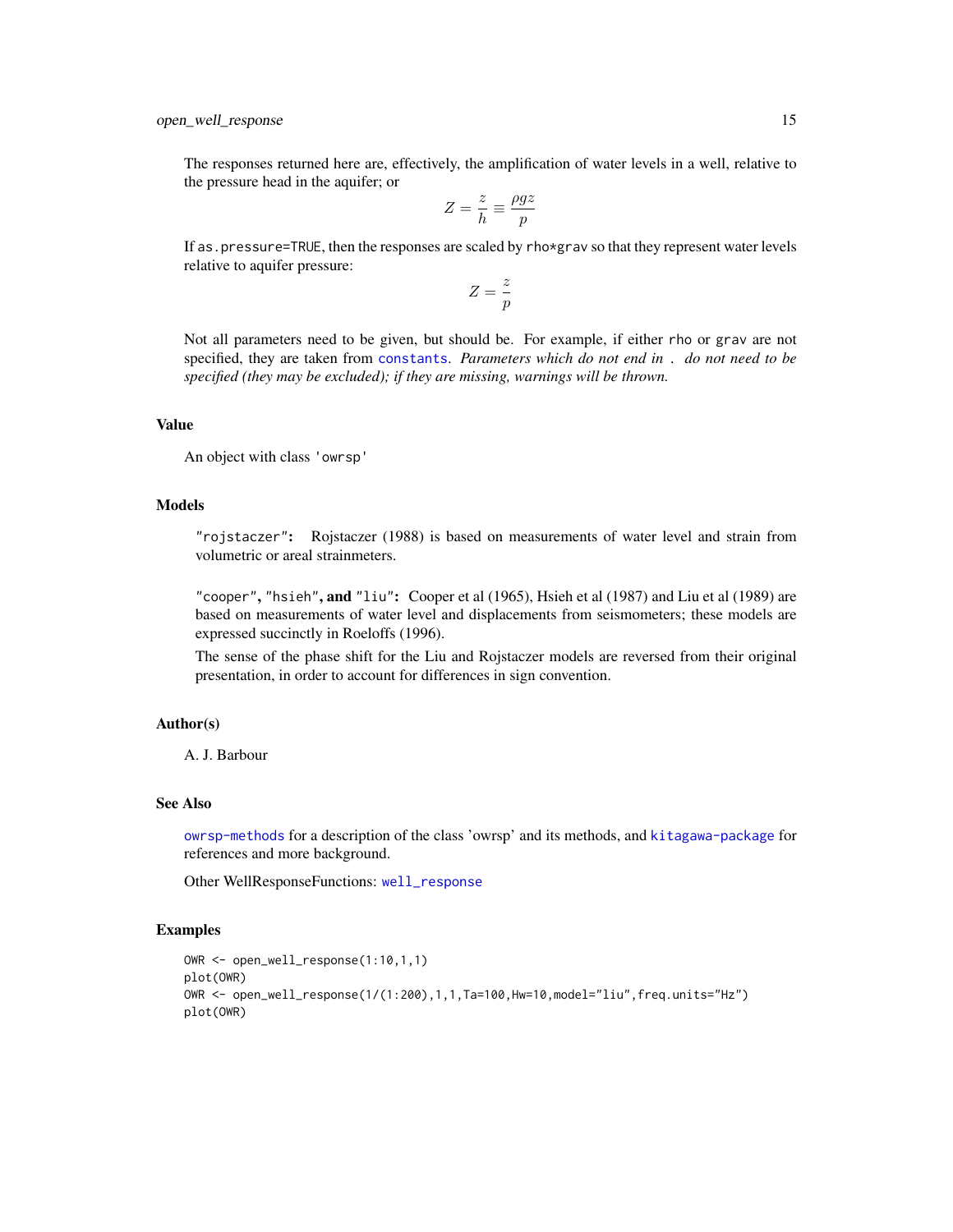<span id="page-14-0"></span>The responses returned here are, effectively, the amplification of water levels in a well, relative to the pressure head in the aquifer; or

$$
Z = \frac{z}{h} \equiv \frac{\rho gz}{p}
$$

If as.pressure=TRUE, then the responses are scaled by rho\*grav so that they represent water levels relative to aquifer pressure:

$$
Z = \frac{z}{p}
$$

Not all parameters need to be given, but should be. For example, if either rho or grav are not specified, they are taken from [constants](#page-5-2). *Parameters which do not end in* . *do not need to be specified (they may be excluded); if they are missing, warnings will be thrown.*

#### Value

An object with class 'owrsp'

# Models

"rojstaczer": Rojstaczer (1988) is based on measurements of water level and strain from volumetric or areal strainmeters.

"cooper", "hsieh", and "liu": Cooper et al  $(1965)$ , Hsieh et al  $(1987)$  and Liu et al  $(1989)$  are based on measurements of water level and displacements from seismometers; these models are expressed succinctly in Roeloffs (1996).

The sense of the phase shift for the Liu and Rojstaczer models are reversed from their original presentation, in order to account for differences in sign convention.

#### Author(s)

A. J. Barbour

# See Also

[owrsp-methods](#page-15-1) for a description of the class 'owrsp' and its methods, and [kitagawa-package](#page-1-1) for references and more background.

Other WellResponseFunctions: [well\\_response](#page-18-1)

```
OWR <- open_well_response(1:10,1,1)
plot(OWR)
OWR <- open_well_response(1/(1:200),1,1,Ta=100,Hw=10,model="liu",freq.units="Hz")
plot(OWR)
```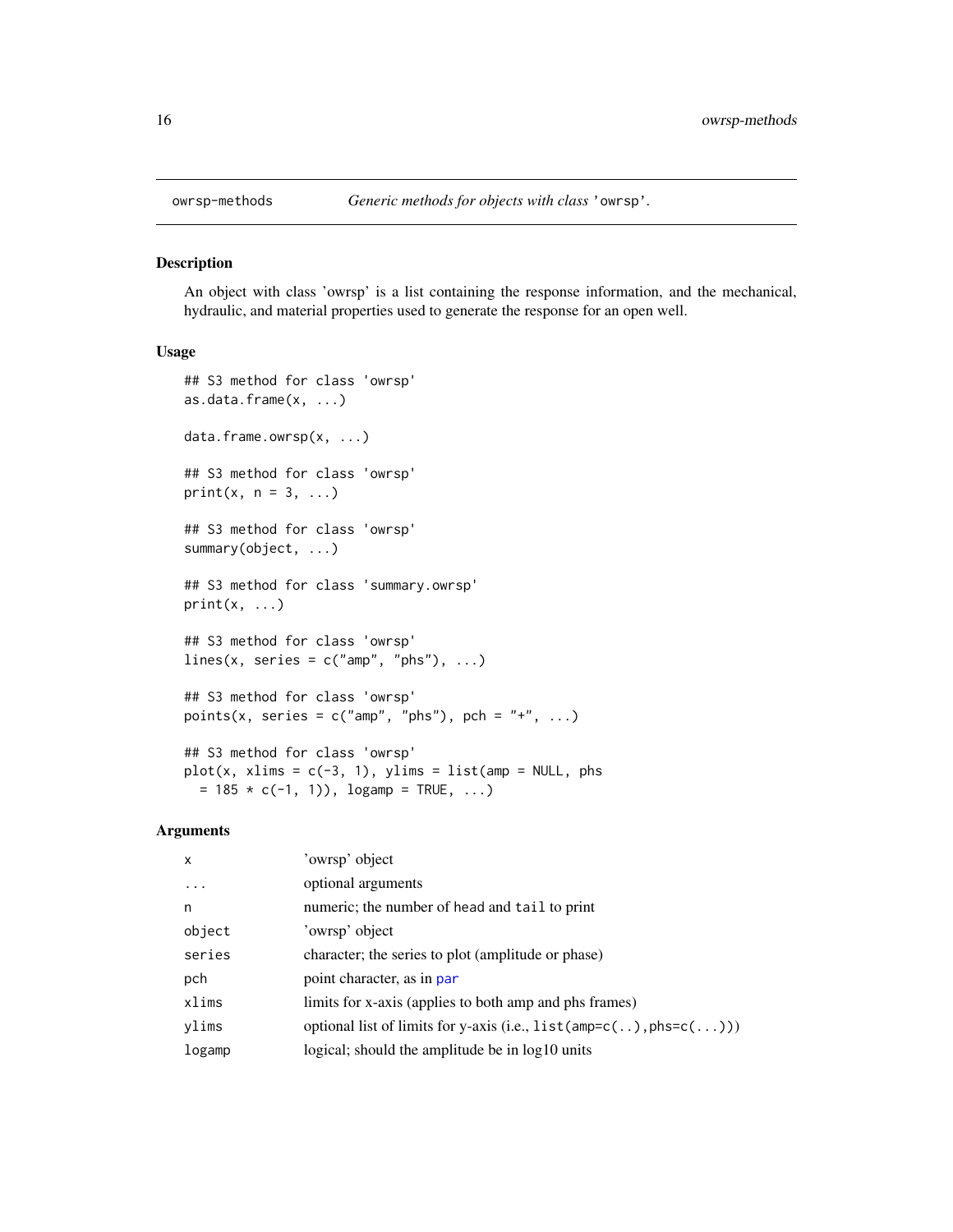<span id="page-15-1"></span><span id="page-15-0"></span>

#### Description

An object with class 'owrsp' is a list containing the response information, and the mechanical, hydraulic, and material properties used to generate the response for an open well.

#### Usage

```
## S3 method for class 'owrsp'
as.data.frame(x, ...)
data.frame.owrsp(x, ...)
## S3 method for class 'owrsp'
print(x, n = 3, ...)
## S3 method for class 'owrsp'
summary(object, ...)
## S3 method for class 'summary.owrsp'
print(x, \ldots)## S3 method for class 'owrsp'
lines(x, series = c("amp", "phs"), ...)
## S3 method for class 'owrsp'
points(x, series = c("amp", "phs"), pch = "+", ...)
## S3 method for class 'owrsp'
plot(x, xlims = c(-3, 1), ylims = list(am = NULL, phys)= 185 * c(-1, 1), logamp = TRUE, ...)
```
# Arguments

| $\mathsf{x}$ | 'owrsp' object                                                             |
|--------------|----------------------------------------------------------------------------|
| .            | optional arguments                                                         |
| n            | numeric; the number of head and tail to print                              |
| object       | 'owrsp' object                                                             |
| series       | character; the series to plot (amplitude or phase)                         |
| pch          | point character, as in par                                                 |
| xlims        | limits for x-axis (applies to both amp and phs frames)                     |
| ylims        | optional list of limits for y-axis (i.e., $list(amp=c(.))$ , $phs=c(.))$ ) |
| logamp       | logical; should the amplitude be in log10 units                            |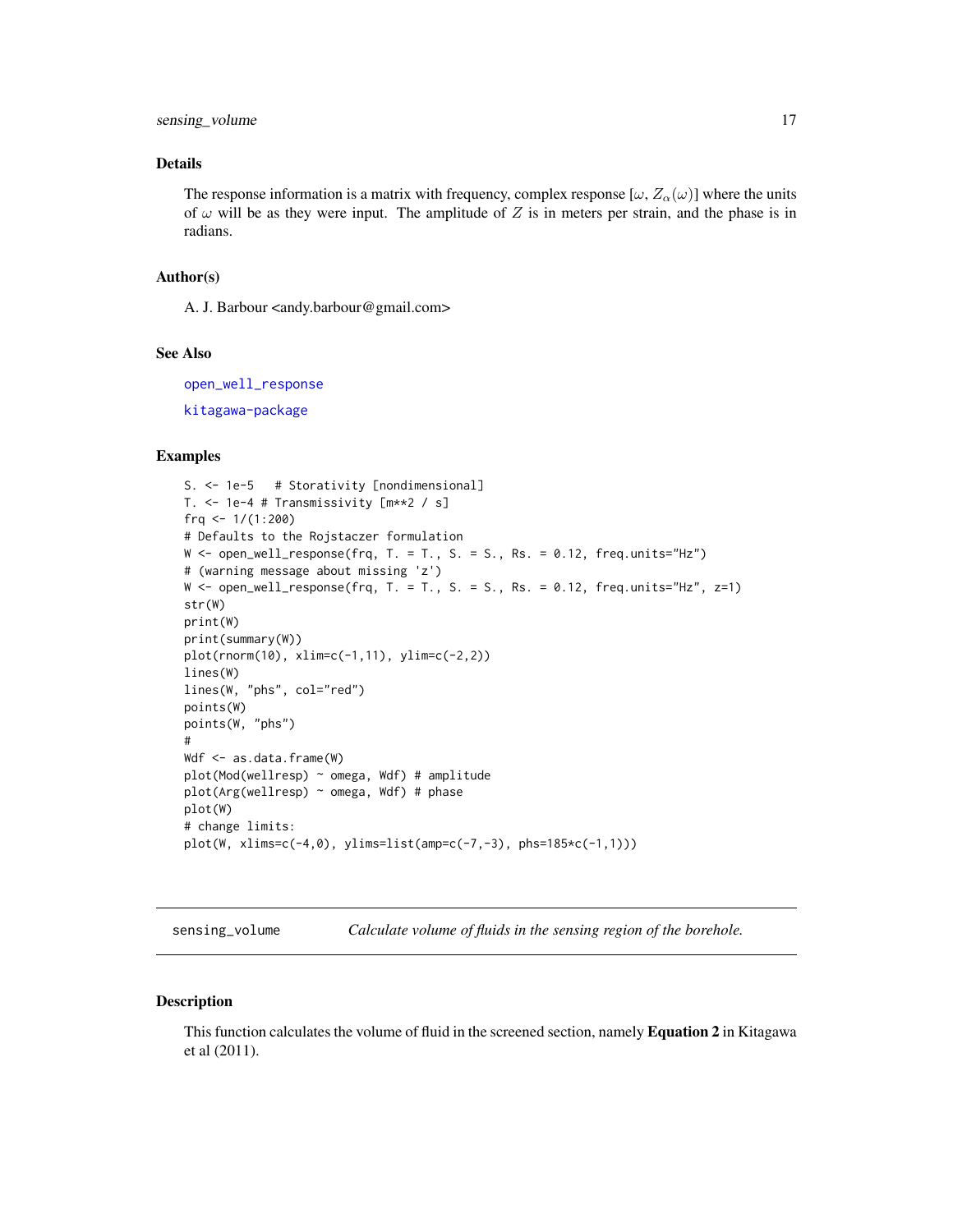<span id="page-16-0"></span>sensing\_volume 17

# Details

The response information is a matrix with frequency, complex response  $[\omega, Z_{\alpha}(\omega)]$  where the units of  $\omega$  will be as they were input. The amplitude of Z is in meters per strain, and the phase is in radians.

#### Author(s)

A. J. Barbour <andy.barbour@gmail.com>

#### See Also

[open\\_well\\_response](#page-13-1) [kitagawa-package](#page-1-1)

#### Examples

```
S. <- 1e-5 # Storativity [nondimensional]
T. <- 1e-4 # Transmissivity [m**2 / s]
frq <- 1/(1:200)
# Defaults to the Rojstaczer formulation
W \le - open_well_response(frq, T. = T., S. = S., Rs. = 0.12, freq.units="Hz")
# (warning message about missing 'z')
W \leq open_well_response(frq, T. = T., S. = S., Rs. = 0.12, freq.units="Hz", z=1)
str(W)
print(W)
print(summary(W))
plot(rnorm(10), xlim=c(-1,11), ylim=c(-2,2))
lines(W)
lines(W, "phs", col="red")
points(W)
points(W, "phs")
#
Wdf <- as.data.frame(W)
plot(Mod(wellresp) ~ omega, Wdf) # amplitude
plot(Arg(wellresp) ~ omega, Wdf) # phase
plot(W)
# change limits:
plot(W, xlims=c(-4,0), ylims=list(amp=c(-7,-3), phs=185*c(-1,1)))
```
<span id="page-16-1"></span>sensing\_volume *Calculate volume of fluids in the sensing region of the borehole.*

#### Description

This function calculates the volume of fluid in the screened section, namely Equation 2 in Kitagawa et al (2011).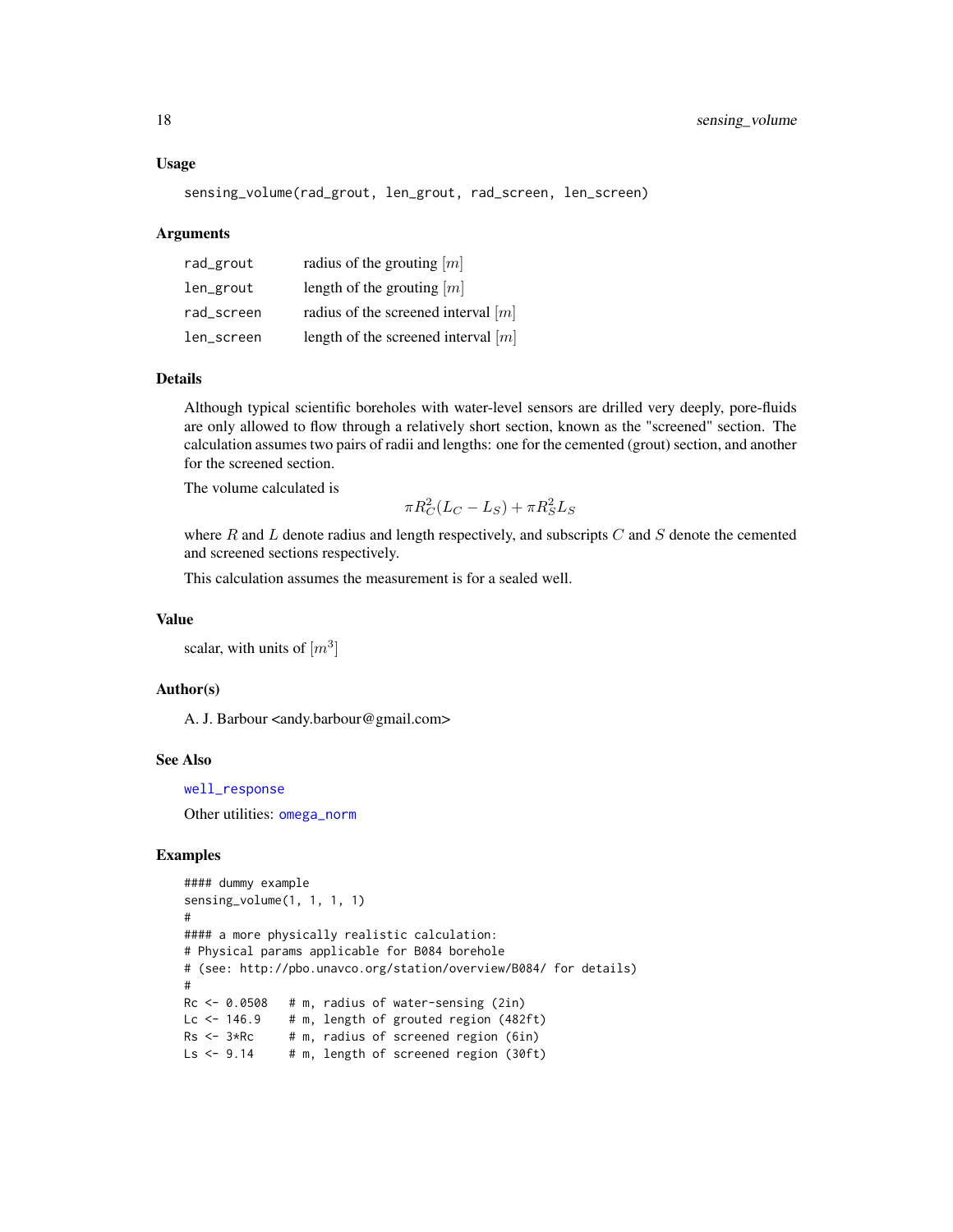<span id="page-17-0"></span>sensing\_volume(rad\_grout, len\_grout, rad\_screen, len\_screen)

#### Arguments

| rad_grout  | radius of the grouting $[m]$          |
|------------|---------------------------------------|
| len_grout  | length of the grouting $ m $          |
| rad_screen | radius of the screened interval $ m $ |
| len_screen | length of the screened interval $[m]$ |

#### Details

Although typical scientific boreholes with water-level sensors are drilled very deeply, pore-fluids are only allowed to flow through a relatively short section, known as the "screened" section. The calculation assumes two pairs of radii and lengths: one for the cemented (grout) section, and another for the screened section.

The volume calculated is

$$
\pi R_C^2 (L_C - L_S) + \pi R_S^2 L_S
$$

where  $R$  and  $L$  denote radius and length respectively, and subscripts  $C$  and  $S$  denote the cemented and screened sections respectively.

This calculation assumes the measurement is for a sealed well.

#### Value

scalar, with units of  $[m^3]$ 

# Author(s)

A. J. Barbour <andy.barbour@gmail.com>

#### See Also

[well\\_response](#page-18-1)

Other utilities: [omega\\_norm](#page-12-1)

```
#### dummy example
sensing_volume(1, 1, 1, 1)
#
#### a more physically realistic calculation:
# Physical params applicable for B084 borehole
# (see: http://pbo.unavco.org/station/overview/B084/ for details)
#
Rc \leq 0.0508 # m, radius of water-sensing (2in)
Lc \leftarrow 146.9 # m, length of grouted region (482ft)
Rs < -3*Rc # m, radius of screened region (6in)
Ls \leftarrow 9.14 # m, length of screened region (30ft)
```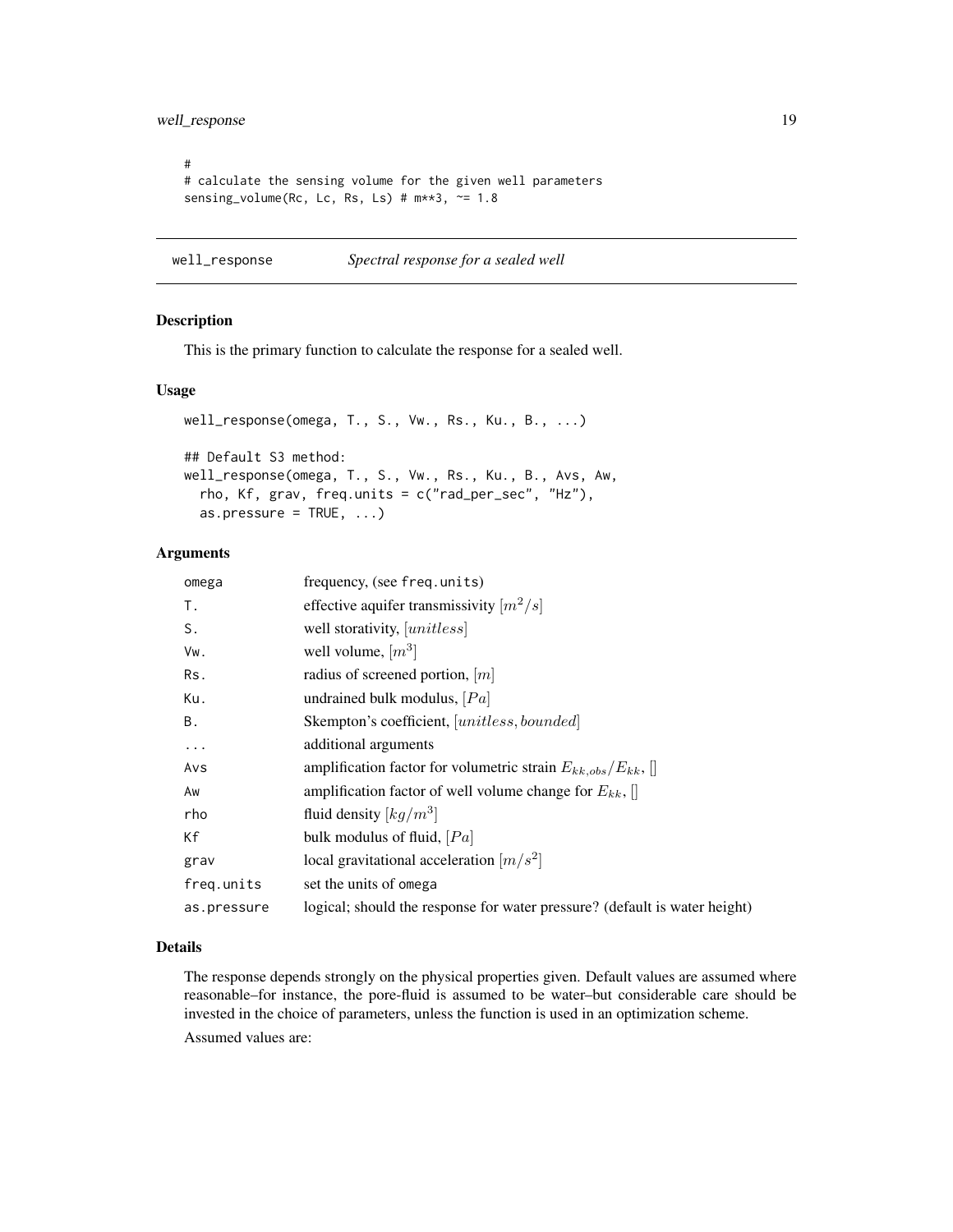<span id="page-18-0"></span># # calculate the sensing volume for the given well parameters sensing\_volume(Rc, Lc, Rs, Ls) # m\*\*3, ~= 1.8

<span id="page-18-1"></span>well\_response *Spectral response for a sealed well*

#### Description

This is the primary function to calculate the response for a sealed well.

# Usage

```
well_response(omega, T., S., Vw., Rs., Ku., B., ...)
## Default S3 method:
well_response(omega, T., S., Vw., Rs., Ku., B., Avs, Aw,
  rho, Kf, grav, freq.units = c("rad_per_sec", "Hz"),
  as.pressure = TRUE, ...)
```
### Arguments

| omega       | frequency, (see freq.units)                                                |
|-------------|----------------------------------------------------------------------------|
| T.          | effective aquifer transmissivity $[m^2/s]$                                 |
| S.          | well storativity, [unitless]                                               |
| Vw.         | well volume, $[m^3]$                                                       |
| Rs.         | radius of screened portion, $[m]$                                          |
| Ku.         | undrained bulk modulus, $[Pa]$                                             |
| В.          | Skempton's coefficient, [unitless, bounded]                                |
| $\ddots$    | additional arguments                                                       |
| Avs         | amplification factor for volumetric strain $E_{kk,obs}/E_{kk}$ ,           |
| Aw          | amplification factor of well volume change for $E_{kk}$ ,                  |
| rho         | fluid density $\left\lfloor k g / m^3 \right\rfloor$                       |
| Кf          | bulk modulus of fluid, $[Pa]$                                              |
| grav        | local gravitational acceleration $[m/s^2]$                                 |
| freq.units  | set the units of omega                                                     |
| as.pressure | logical; should the response for water pressure? (default is water height) |

# Details

The response depends strongly on the physical properties given. Default values are assumed where reasonable–for instance, the pore-fluid is assumed to be water–but considerable care should be invested in the choice of parameters, unless the function is used in an optimization scheme.

Assumed values are: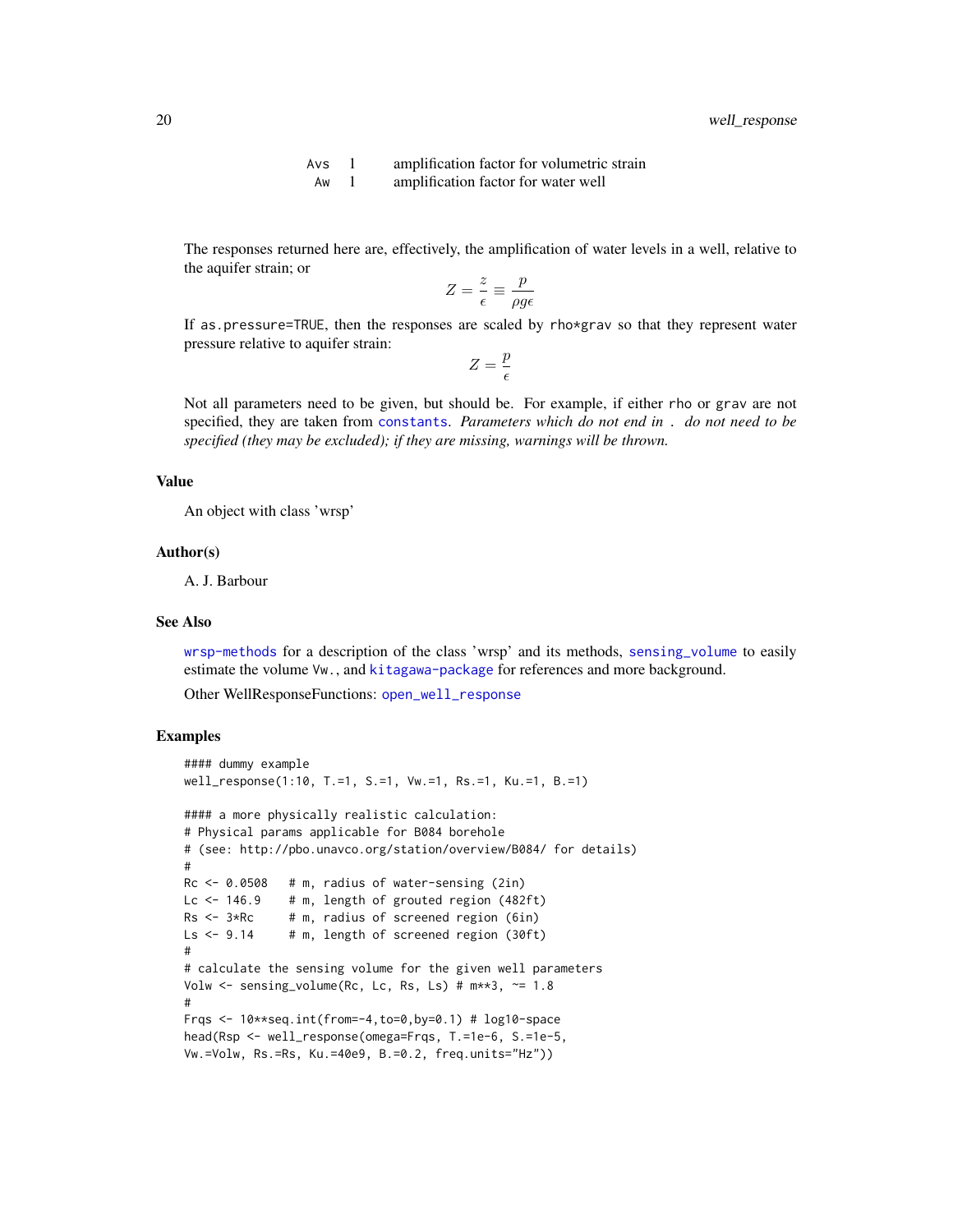Avs 1 amplification factor for volumetric strain Aw 1 amplification factor for water well

<span id="page-19-0"></span>The responses returned here are, effectively, the amplification of water levels in a well, relative to the aquifer strain; or

$$
Z = \frac{z}{\epsilon} \equiv \frac{p}{\rho g \epsilon}
$$

If as.pressure=TRUE, then the responses are scaled by rho\*grav so that they represent water pressure relative to aquifer strain:

$$
Z=\frac{p}{\epsilon}
$$

Not all parameters need to be given, but should be. For example, if either rho or grav are not specified, they are taken from [constants](#page-5-2). *Parameters which do not end in* . *do not need to be specified (they may be excluded); if they are missing, warnings will be thrown.*

#### Value

An object with class 'wrsp'

#### Author(s)

A. J. Barbour

#### See Also

[wrsp-methods](#page-20-1) for a description of the class 'wrsp' and its methods, [sensing\\_volume](#page-16-1) to easily estimate the volume Vw., and [kitagawa-package](#page-1-1) for references and more background.

Other WellResponseFunctions: [open\\_well\\_response](#page-13-1)

```
#### dummy example
well_response(1:10, T.=1, S.=1, Vw.=1, Rs.=1, Ku.=1, B.=1)
#### a more physically realistic calculation:
# Physical params applicable for B084 borehole
# (see: http://pbo.unavco.org/station/overview/B084/ for details)
#
Rc \leq 0.0508 # m, radius of water-sensing (2in)
Lc \le - 146.9 # m, length of grouted region (482ft)<br>Rs \le - 3*Rc # m, radius of screened region (6in)
                # m, radius of screened region (6in)
Ls \leftarrow 9.14 # m, length of screened region (30ft)
#
# calculate the sensing volume for the given well parameters
Volw \le sensing_volume(Rc, Lc, Rs, Ls) # m**3, \approx 1.8
#
Frqs <- 10**seq.int(from=-4,to=0,by=0.1) # log10-space
head(Rsp <- well_response(omega=Frqs, T.=1e-6, S.=1e-5,
Vw.=Volw, Rs.=Rs, Ku.=40e9, B.=0.2, freq.units="Hz"))
```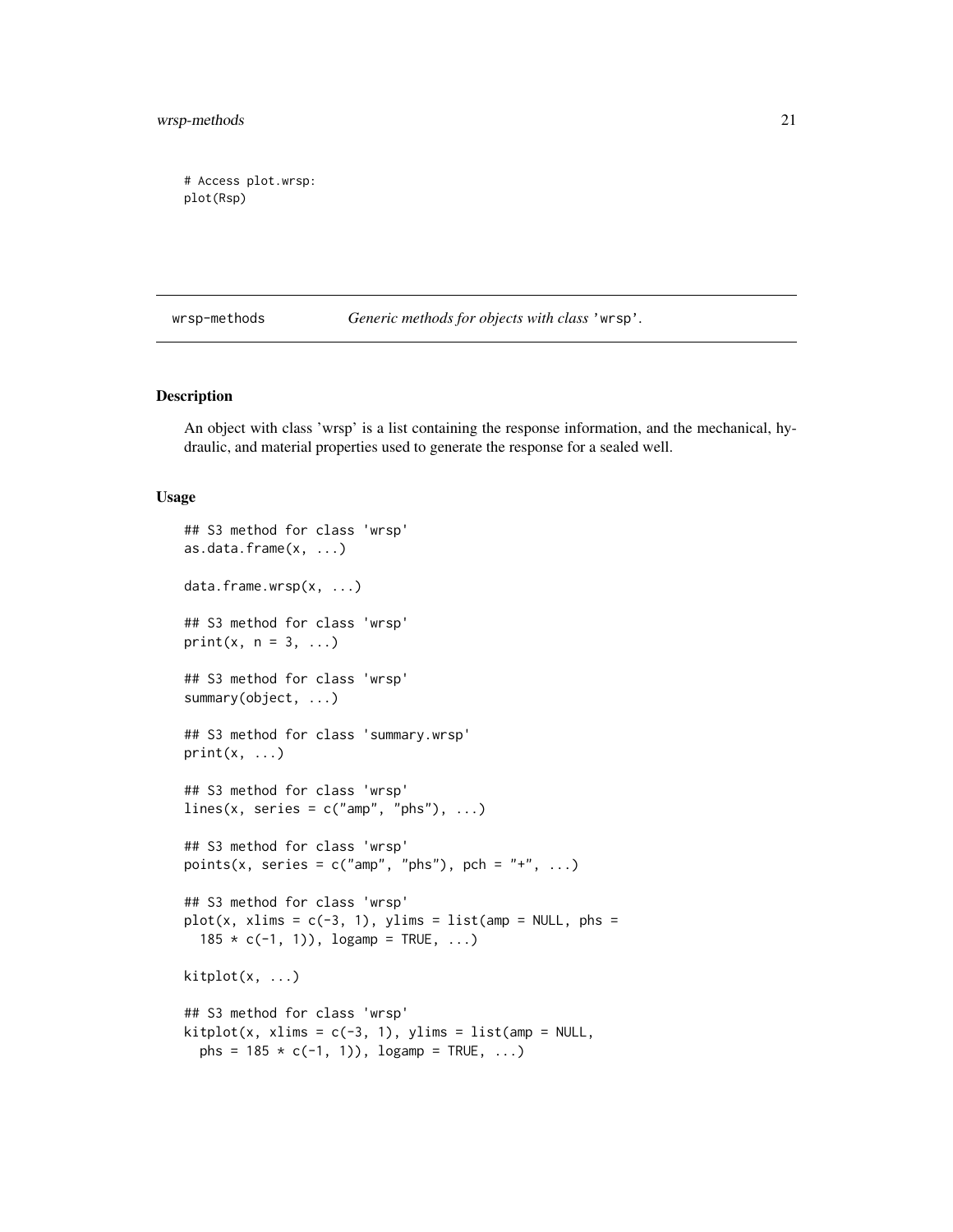<span id="page-20-0"></span>wrsp-methods 21

# Access plot.wrsp: plot(Rsp)

<span id="page-20-1"></span>wrsp-methods *Generic methods for objects with class* 'wrsp'*.*

# <span id="page-20-2"></span>Description

An object with class 'wrsp' is a list containing the response information, and the mechanical, hydraulic, and material properties used to generate the response for a sealed well.

# Usage

```
## S3 method for class 'wrsp'
as.data.frame(x, ...)
data.frame.wrsp(x, ...)
## S3 method for class 'wrsp'
print(x, n = 3, ...)
## S3 method for class 'wrsp'
summary(object, ...)
## S3 method for class 'summary.wrsp'
print(x, \ldots)## S3 method for class 'wrsp'
lines(x, series = c("amp", "phs"), ...)
## S3 method for class 'wrsp'
points(x, series = c("amp", "phs"), pch = "+", ...)
## S3 method for class 'wrsp'
plot(x, x) ims = c(-3, 1), ylims = list(amp = NULL, phs =
  185 * c(-1, 1), logamp = TRUE, ...kiptot(x, \ldots)## S3 method for class 'wrsp'
kithlot(x, xlims = c(-3, 1), ylims = list(am = NULL,phs = 185 * c(-1, 1), logamp = TRUE, ...
```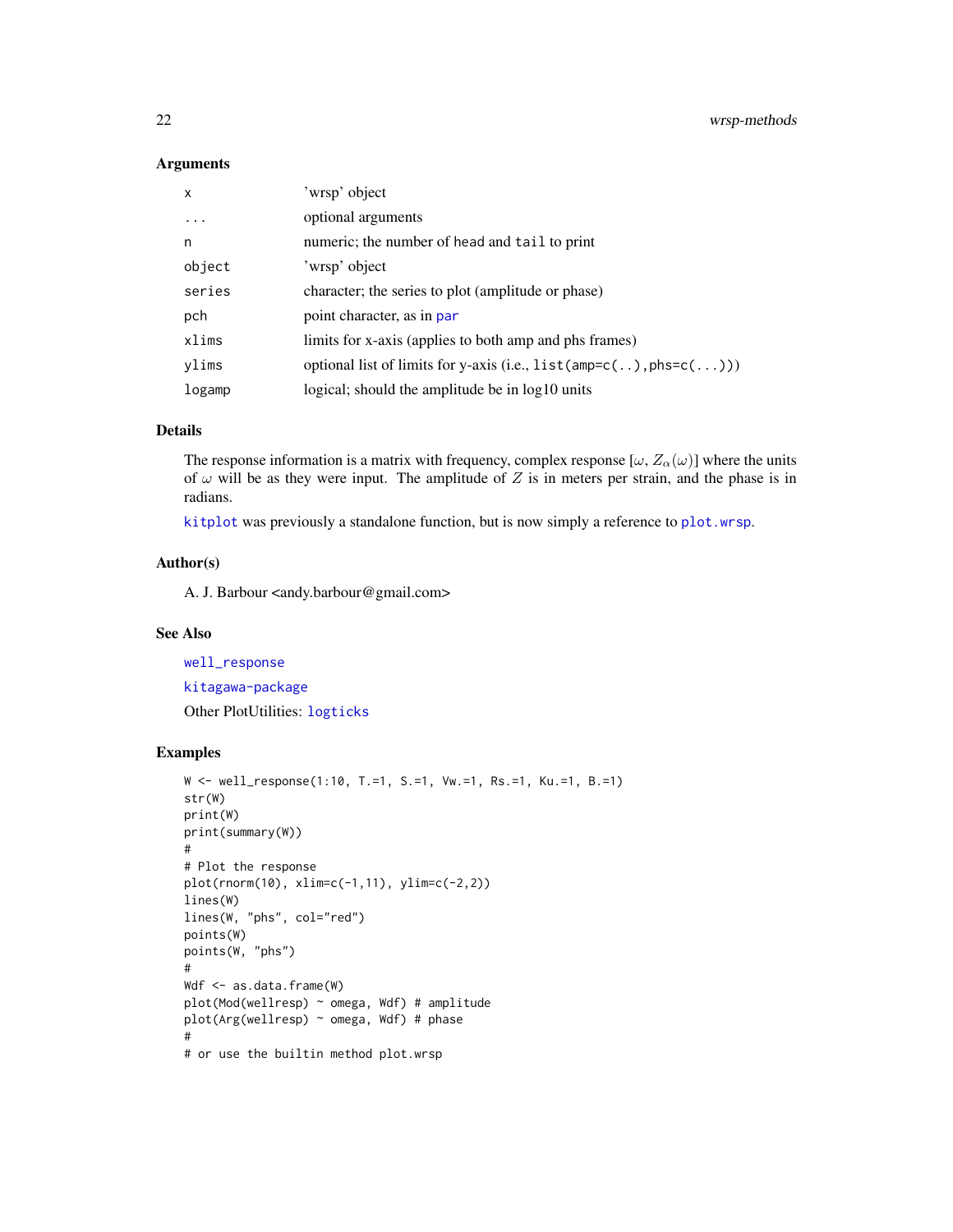#### Arguments

| x          | 'wrsp' object                                                              |
|------------|----------------------------------------------------------------------------|
| $\ddots$ . | optional arguments                                                         |
| n          | numeric; the number of head and tail to print                              |
| object     | 'wrsp' object                                                              |
| series     | character; the series to plot (amplitude or phase)                         |
| pch        | point character, as in par                                                 |
| xlims      | limits for x-axis (applies to both amp and phs frames)                     |
| ylims      | optional list of limits for y-axis (i.e., $list(amp=c(.))$ , $phs=c(.))$ ) |
| logamp     | logical; should the amplitude be in log10 units                            |

#### Details

The response information is a matrix with frequency, complex response  $[\omega, Z_{\alpha}(\omega)]$  where the units of  $\omega$  will be as they were input. The amplitude of Z is in meters per strain, and the phase is in radians.

[kitplot](#page-20-2) was previously a standalone function, but is now simply a reference to [plot.wrsp](#page-20-2).

# Author(s)

A. J. Barbour <andy.barbour@gmail.com>

# See Also

[well\\_response](#page-18-1)

[kitagawa-package](#page-1-1) Other PlotUtilities: [logticks](#page-9-2)

```
W <- well_response(1:10, T.=1, S.=1, Vw.=1, Rs.=1, Ku.=1, B.=1)
str(W)
print(W)
print(summary(W))
#
# Plot the response
plot(rnorm(10), xlim=c(-1,11), ylim=c(-2,2))
lines(W)
lines(W, "phs", col="red")
points(W)
points(W, "phs")
#
Wdf <- as.data.frame(W)
plot(Mod(wellresp) ~ omega, Wdf) # amplitude
plot(Arg(wellresp) ~ omega, Wdf) # phase
#
# or use the builtin method plot.wrsp
```
<span id="page-21-0"></span>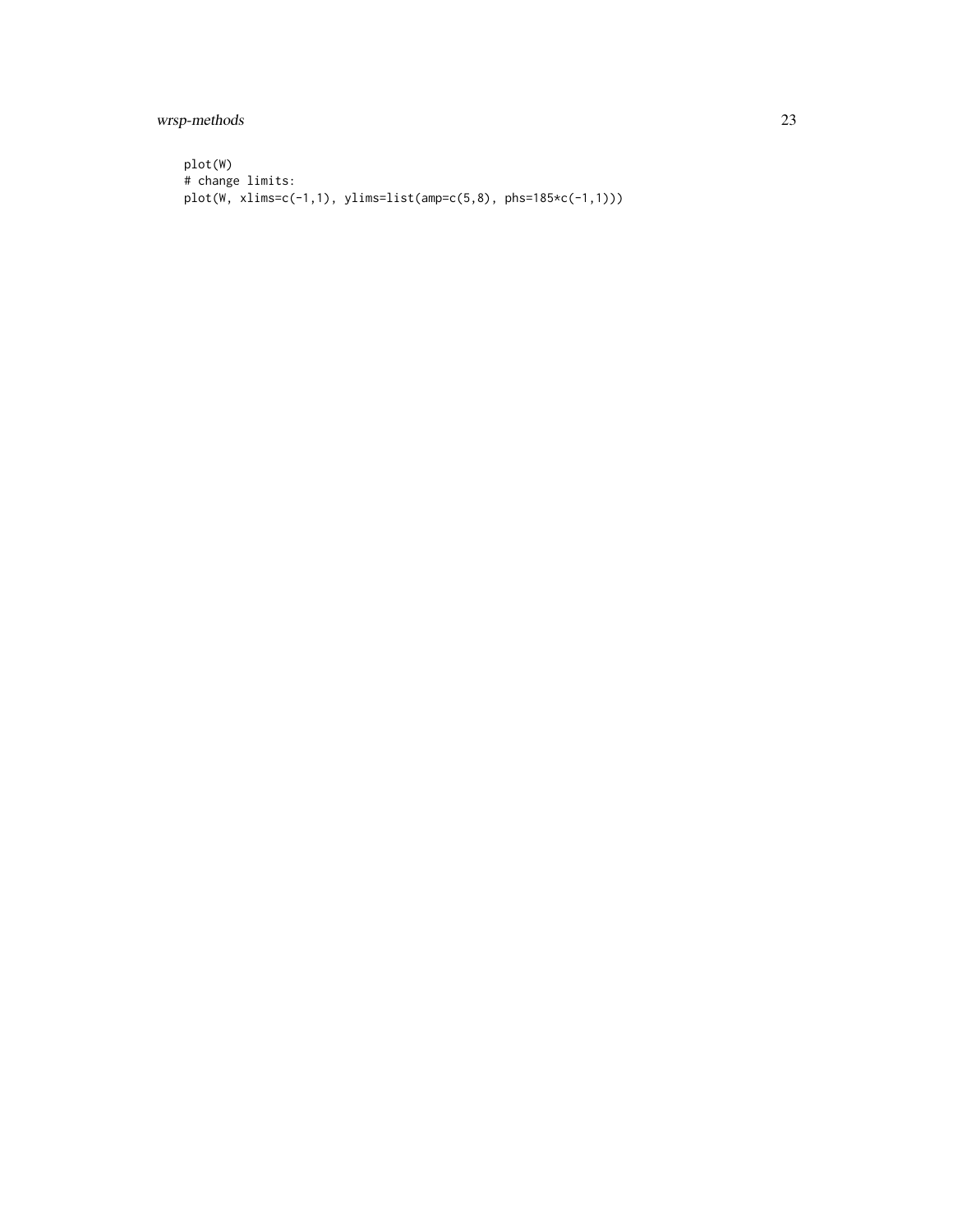wrsp-methods 23

```
plot(W)
# change limits:
plot(W, xlims=c(-1,1), ylims=list(amp=c(5,8), phs=185*c(-1,1)))
```